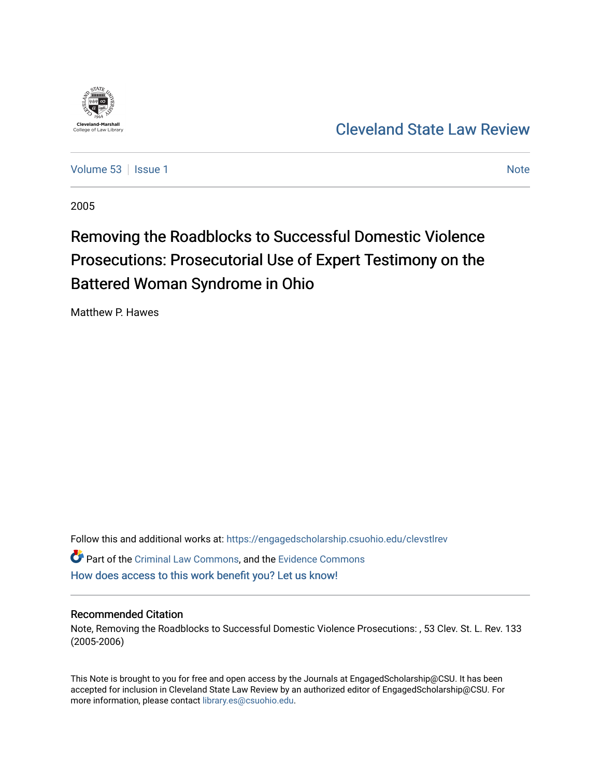

[Cleveland State Law Review](https://engagedscholarship.csuohio.edu/clevstlrev) 

[Volume 53](https://engagedscholarship.csuohio.edu/clevstlrev/vol53) | [Issue 1](https://engagedscholarship.csuohio.edu/clevstlrev/vol53/iss1) [Note](https://engagedscholarship.csuohio.edu/clevstlrev/vol53/iss1/8) 1 Note 1 Note 1 Note 1 Note 1 Note 1 Note 1 Note 1 Note 1 Note 1 Note 1 Note 1 Note 1 Note 1 Note 1 Note 1 Note 1 Note 1 Note 1 Note 1 Note 1 Note 1 Note 1 Note 1 Note 1 Note 1 Note 1 Note 1 Note 1

2005

# Removing the Roadblocks to Successful Domestic Violence Prosecutions: Prosecutorial Use of Expert Testimony on the Battered Woman Syndrome in Ohio

Matthew P. Hawes

Follow this and additional works at: [https://engagedscholarship.csuohio.edu/clevstlrev](https://engagedscholarship.csuohio.edu/clevstlrev?utm_source=engagedscholarship.csuohio.edu%2Fclevstlrev%2Fvol53%2Fiss1%2F8&utm_medium=PDF&utm_campaign=PDFCoverPages)

Part of the [Criminal Law Commons,](http://network.bepress.com/hgg/discipline/912?utm_source=engagedscholarship.csuohio.edu%2Fclevstlrev%2Fvol53%2Fiss1%2F8&utm_medium=PDF&utm_campaign=PDFCoverPages) and the [Evidence Commons](http://network.bepress.com/hgg/discipline/601?utm_source=engagedscholarship.csuohio.edu%2Fclevstlrev%2Fvol53%2Fiss1%2F8&utm_medium=PDF&utm_campaign=PDFCoverPages)  [How does access to this work benefit you? Let us know!](http://library.csuohio.edu/engaged/)

## Recommended Citation

Note, Removing the Roadblocks to Successful Domestic Violence Prosecutions: , 53 Clev. St. L. Rev. 133 (2005-2006)

This Note is brought to you for free and open access by the Journals at EngagedScholarship@CSU. It has been accepted for inclusion in Cleveland State Law Review by an authorized editor of EngagedScholarship@CSU. For more information, please contact [library.es@csuohio.edu](mailto:library.es@csuohio.edu).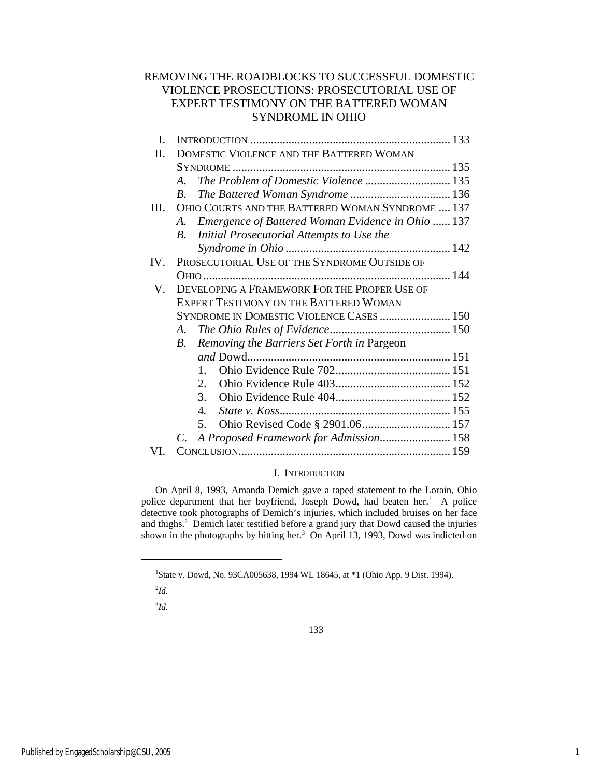## REMOVING THE ROADBLOCKS TO SUCCESSFUL DOMESTIC VIOLENCE PROSECUTIONS: PROSECUTORIAL USE OF EXPERT TESTIMONY ON THE BATTERED WOMAN SYNDROME IN OHIO

| L.   |                                                           |  |
|------|-----------------------------------------------------------|--|
| П.   | DOMESTIC VIOLENCE AND THE BATTERED WOMAN                  |  |
|      |                                                           |  |
|      | The Problem of Domestic Violence  135<br>A.               |  |
|      | B.                                                        |  |
| III. | OHIO COURTS AND THE BATTERED WOMAN SYNDROME  137          |  |
|      | Emergence of Battered Woman Evidence in Ohio  137<br>A.   |  |
|      | Initial Prosecutorial Attempts to Use the<br>$B_{\cdot}$  |  |
|      |                                                           |  |
| IV.  | PROSECUTORIAL USE OF THE SYNDROME OUTSIDE OF              |  |
|      |                                                           |  |
| V.   | DEVELOPING A FRAMEWORK FOR THE PROPER USE OF              |  |
|      | <b>EXPERT TESTIMONY ON THE BATTERED WOMAN</b>             |  |
|      | SYNDROME IN DOMESTIC VIOLENCE CASES  150                  |  |
|      | A.                                                        |  |
|      | Removing the Barriers Set Forth in Pargeon<br>$B_{\cdot}$ |  |
|      |                                                           |  |
|      | $1_{-}$                                                   |  |
|      | $2_{\cdot}$                                               |  |
|      | 3.                                                        |  |
|      | 4.                                                        |  |
|      | 5.                                                        |  |
|      | A Proposed Framework for Admission 158<br>C.              |  |
|      |                                                           |  |

## I. INTRODUCTION

On April 8, 1993, Amanda Demich gave a taped statement to the Lorain, Ohio police department that her boyfriend, Joseph Dowd, had beaten her.<sup>1</sup> A police detective took photographs of Demich's injuries, which included bruises on her face and thighs.<sup>2</sup> Demich later testified before a grand jury that Dowd caused the injuries shown in the photographs by hitting her. $3$  On April 13, 1993, Dowd was indicted on

 $\overline{a}$ 

3 *Id*.

<sup>&</sup>lt;sup>1</sup>State v. Dowd, No. 93CA005638, 1994 WL 18645, at \*1 (Ohio App. 9 Dist. 1994).

 $^{2}$ *Id*.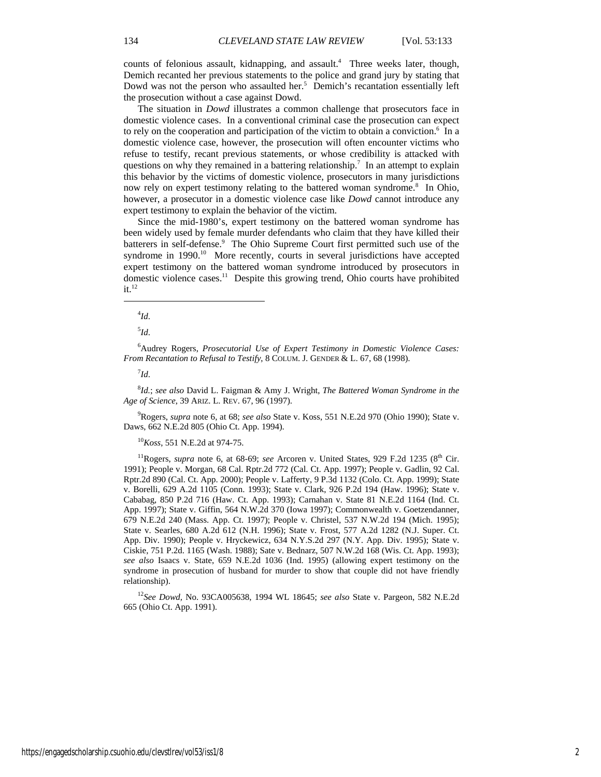counts of felonious assault, kidnapping, and assault.<sup>4</sup> Three weeks later, though, Demich recanted her previous statements to the police and grand jury by stating that Dowd was not the person who assaulted her.<sup>5</sup> Demich's recantation essentially left the prosecution without a case against Dowd.

The situation in *Dowd* illustrates a common challenge that prosecutors face in domestic violence cases. In a conventional criminal case the prosecution can expect to rely on the cooperation and participation of the victim to obtain a conviction.<sup>6</sup> In a domestic violence case, however, the prosecution will often encounter victims who refuse to testify, recant previous statements, or whose credibility is attacked with questions on why they remained in a battering relationship.<sup>7</sup> In an attempt to explain this behavior by the victims of domestic violence, prosecutors in many jurisdictions now rely on expert testimony relating to the battered woman syndrome.<sup>8</sup> In Ohio, however, a prosecutor in a domestic violence case like *Dowd* cannot introduce any expert testimony to explain the behavior of the victim.

Since the mid-1980's, expert testimony on the battered woman syndrome has been widely used by female murder defendants who claim that they have killed their batterers in self-defense.<sup>9</sup> The Ohio Supreme Court first permitted such use of the syndrome in 1990.<sup>10</sup> More recently, courts in several jurisdictions have accepted expert testimony on the battered woman syndrome introduced by prosecutors in domestic violence cases.<sup>11</sup> Despite this growing trend, Ohio courts have prohibited  $it.<sup>12</sup>$ 

4 *Id*.

 $\overline{a}$ 

5 *Id*.

6 Audrey Rogers, *Prosecutorial Use of Expert Testimony in Domestic Violence Cases: From Recantation to Refusal to Testify*, 8 COLUM. J. GENDER & L. 67, 68 (1998).

7 *Id*.

8 *Id.*; *see also* David L. Faigman & Amy J. Wright, *The Battered Woman Syndrome in the Age of Science*, 39 ARIZ. L. REV. 67, 96 (1997).

9 Rogers, *supra* note 6, at 68; *see also* State v. Koss, 551 N.E.2d 970 (Ohio 1990); State v. Daws, 662 N.E.2d 805 (Ohio Ct. App. 1994).

<sup>10</sup>*Koss*, 551 N.E.2d at 974-75.

<sup>11</sup>Rogers, *supra* note 6, at 68-69; *see* Arcoren v. United States, 929 F.2d 1235 (8<sup>th</sup> Cir. 1991); People v. Morgan, 68 Cal. Rptr.2d 772 (Cal. Ct. App. 1997); People v. Gadlin, 92 Cal. Rptr.2d 890 (Cal. Ct. App. 2000); People v. Lafferty, 9 P.3d 1132 (Colo. Ct. App. 1999); State v. Borelli, 629 A.2d 1105 (Conn. 1993); State v. Clark, 926 P.2d 194 (Haw. 1996); State v. Cababag, 850 P.2d 716 (Haw. Ct. App. 1993); Carnahan v. State 81 N.E.2d 1164 (Ind. Ct. App. 1997); State v. Giffin, 564 N.W.2d 370 (Iowa 1997); Commonwealth v. Goetzendanner, 679 N.E.2d 240 (Mass. App. Ct. 1997); People v. Christel, 537 N.W.2d 194 (Mich. 1995); State v. Searles, 680 A.2d 612 (N.H. 1996); State v. Frost, 577 A.2d 1282 (N.J. Super. Ct. App. Div. 1990); People v. Hryckewicz, 634 N.Y.S.2d 297 (N.Y. App. Div. 1995); State v. Ciskie, 751 P.2d. 1165 (Wash. 1988); Sate v. Bednarz, 507 N.W.2d 168 (Wis. Ct. App. 1993); *see also* Isaacs v. State, 659 N.E.2d 1036 (Ind. 1995) (allowing expert testimony on the syndrome in prosecution of husband for murder to show that couple did not have friendly relationship).

<sup>12</sup>*See Dowd,* No. 93CA005638, 1994 WL 18645; *see also* State v. Pargeon, 582 N.E.2d 665 (Ohio Ct. App. 1991).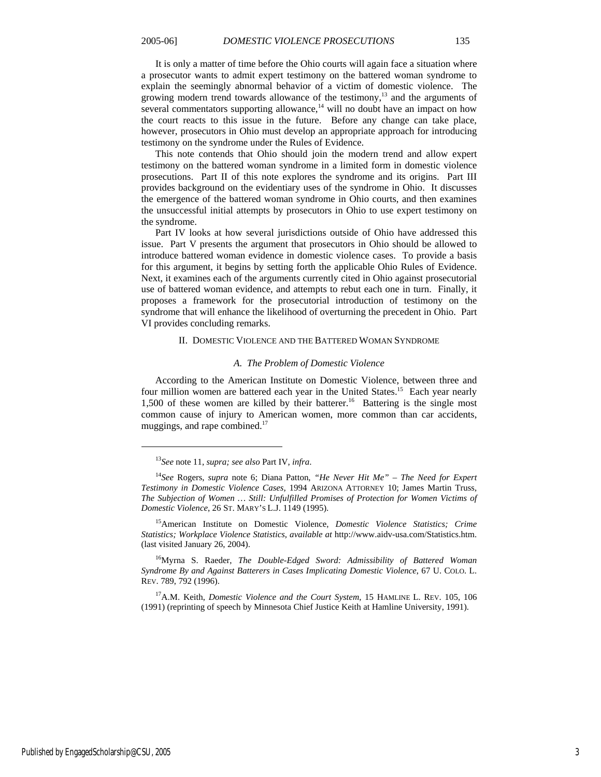It is only a matter of time before the Ohio courts will again face a situation where a prosecutor wants to admit expert testimony on the battered woman syndrome to explain the seemingly abnormal behavior of a victim of domestic violence. The growing modern trend towards allowance of the testimony, $13$  and the arguments of several commentators supporting allowance, $14$  will no doubt have an impact on how the court reacts to this issue in the future. Before any change can take place, however, prosecutors in Ohio must develop an appropriate approach for introducing testimony on the syndrome under the Rules of Evidence.

This note contends that Ohio should join the modern trend and allow expert testimony on the battered woman syndrome in a limited form in domestic violence prosecutions. Part II of this note explores the syndrome and its origins. Part III provides background on the evidentiary uses of the syndrome in Ohio. It discusses the emergence of the battered woman syndrome in Ohio courts, and then examines the unsuccessful initial attempts by prosecutors in Ohio to use expert testimony on the syndrome.

Part IV looks at how several jurisdictions outside of Ohio have addressed this issue. Part V presents the argument that prosecutors in Ohio should be allowed to introduce battered woman evidence in domestic violence cases. To provide a basis for this argument, it begins by setting forth the applicable Ohio Rules of Evidence. Next, it examines each of the arguments currently cited in Ohio against prosecutorial use of battered woman evidence, and attempts to rebut each one in turn. Finally, it proposes a framework for the prosecutorial introduction of testimony on the syndrome that will enhance the likelihood of overturning the precedent in Ohio. Part VI provides concluding remarks.

#### II. DOMESTIC VIOLENCE AND THE BATTERED WOMAN SYNDROME

#### *A. The Problem of Domestic Violence*

According to the American Institute on Domestic Violence, between three and four million women are battered each year in the United States.<sup>15</sup> Each year nearly 1,500 of these women are killed by their batterer.<sup>16</sup> Battering is the single most common cause of injury to American women, more common than car accidents, muggings, and rape combined.<sup>17</sup>

<sup>13</sup>*See* note 11, *supra; see also* Part IV, *infra*.

<sup>14</sup>*See* Rogers, *supra* note 6; Diana Patton, *"He Never Hit Me" – The Need for Expert Testimony in Domestic Violence Cases,* 1994 ARIZONA ATTORNEY 10; James Martin Truss, *The Subjection of Women … Still: Unfulfilled Promises of Protection for Women Victims of Domestic Violence*, 26 ST. MARY'S L.J. 1149 (1995).

<sup>15</sup>American Institute on Domestic Violence, *Domestic Violence Statistics; Crime Statistics; Workplace Violence Statistics*, *available at* http://www.aidv-usa.com/Statistics.htm. (last visited January 26, 2004).

<sup>16</sup>Myrna S. Raeder, *The Double-Edged Sword: Admissibility of Battered Woman Syndrome By and Against Batterers in Cases Implicating Domestic Violence*, 67 U. COLO. L. REV. 789, 792 (1996).

<sup>&</sup>lt;sup>17</sup>A.M. Keith, *Domestic Violence and the Court System*, 15 HAMLINE L. REV. 105, 106 (1991) (reprinting of speech by Minnesota Chief Justice Keith at Hamline University, 1991).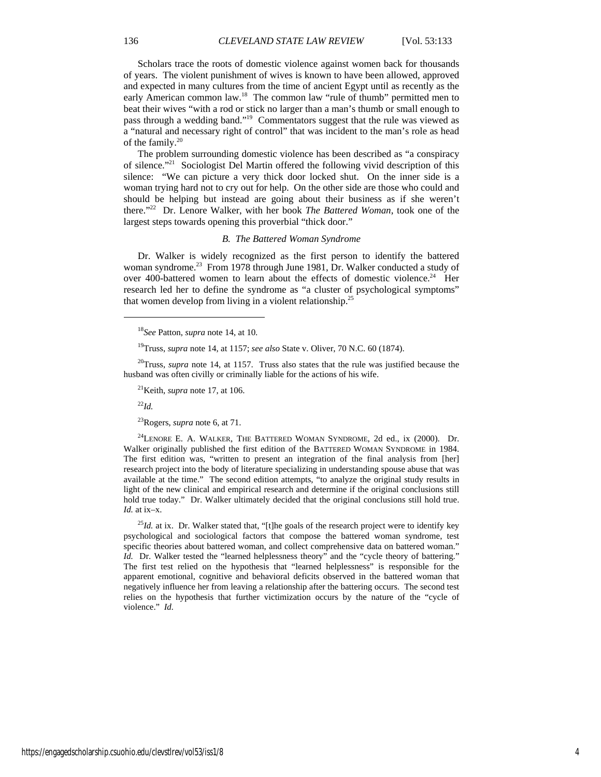Scholars trace the roots of domestic violence against women back for thousands of years. The violent punishment of wives is known to have been allowed, approved and expected in many cultures from the time of ancient Egypt until as recently as the early American common law.<sup>18</sup> The common law "rule of thumb" permitted men to beat their wives "with a rod or stick no larger than a man's thumb or small enough to pass through a wedding band."19 Commentators suggest that the rule was viewed as a "natural and necessary right of control" that was incident to the man's role as head of the family. $20$ 

The problem surrounding domestic violence has been described as "a conspiracy of silence."21 Sociologist Del Martin offered the following vivid description of this silence: "We can picture a very thick door locked shut. On the inner side is a woman trying hard not to cry out for help. On the other side are those who could and should be helping but instead are going about their business as if she weren't there."22 Dr. Lenore Walker, with her book *The Battered Woman*, took one of the largest steps towards opening this proverbial "thick door."

#### *B. The Battered Woman Syndrome*

Dr. Walker is widely recognized as the first person to identify the battered woman syndrome.<sup>23</sup> From 1978 through June 1981, Dr. Walker conducted a study of over 400-battered women to learn about the effects of domestic violence.<sup>24</sup> Her research led her to define the syndrome as "a cluster of psychological symptoms" that women develop from living in a violent relationship.<sup>25</sup>

<sup>18</sup>*See* Patton, *supra* note 14, at 10.

19Truss, *supra* note 14, at 1157; *see also* State v. Oliver, 70 N.C. 60 (1874).

20Truss, *supra* note 14, at 1157. Truss also states that the rule was justified because the husband was often civilly or criminally liable for the actions of his wife.

 $^{21}$ Keith, *supra* note 17, at 106.

<sup>22</sup>*Id.*

 $\overline{a}$ 

23Rogers, *supra* note 6, at 71.

<sup>24</sup>LENORE E. A. WALKER, THE BATTERED WOMAN SYNDROME, 2d ed., ix (2000). Dr. Walker originally published the first edition of the BATTERED WOMAN SYNDROME in 1984. The first edition was, "written to present an integration of the final analysis from [her] research project into the body of literature specializing in understanding spouse abuse that was available at the time." The second edition attempts, "to analyze the original study results in light of the new clinical and empirical research and determine if the original conclusions still hold true today." Dr. Walker ultimately decided that the original conclusions still hold true. *Id.* at ix–x.

 $^{25}Id$ . at ix. Dr. Walker stated that, "[t]he goals of the research project were to identify key psychological and sociological factors that compose the battered woman syndrome, test specific theories about battered woman, and collect comprehensive data on battered woman." *Id.* Dr. Walker tested the "learned helplessness theory" and the "cycle theory of battering." The first test relied on the hypothesis that "learned helplessness" is responsible for the apparent emotional, cognitive and behavioral deficits observed in the battered woman that negatively influence her from leaving a relationship after the battering occurs. The second test relies on the hypothesis that further victimization occurs by the nature of the "cycle of violence." *Id.*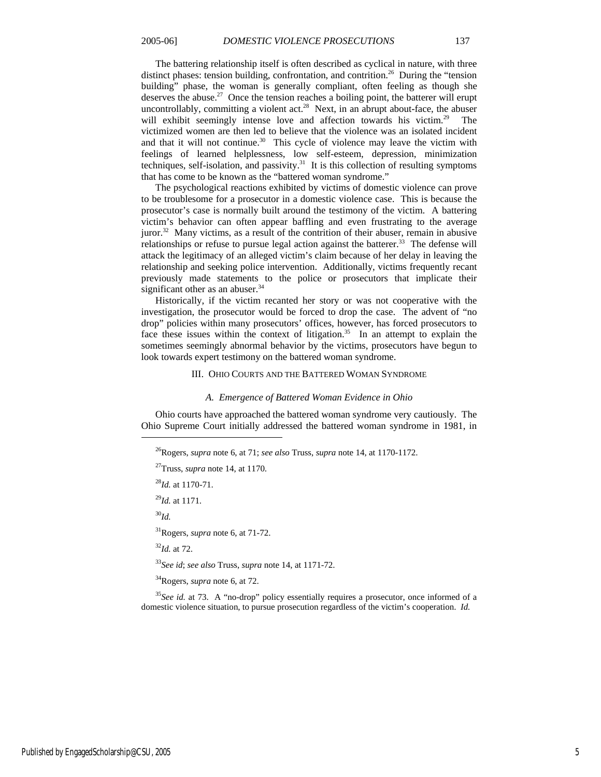The battering relationship itself is often described as cyclical in nature, with three distinct phases: tension building, confrontation, and contrition.<sup>26</sup> During the "tension" building" phase, the woman is generally compliant, often feeling as though she deserves the abuse.<sup>27</sup> Once the tension reaches a boiling point, the batterer will erupt uncontrollably, committing a violent act.<sup>28</sup> Next, in an abrupt about-face, the abuser will exhibit seemingly intense love and affection towards his victim.<sup>29</sup> The victimized women are then led to believe that the violence was an isolated incident and that it will not continue.<sup>30</sup> This cycle of violence may leave the victim with feelings of learned helplessness, low self-esteem, depression, minimization techniques, self-isolation, and passivity. $31$  It is this collection of resulting symptoms that has come to be known as the "battered woman syndrome."

The psychological reactions exhibited by victims of domestic violence can prove to be troublesome for a prosecutor in a domestic violence case. This is because the prosecutor's case is normally built around the testimony of the victim. A battering victim's behavior can often appear baffling and even frustrating to the average juror.<sup>32</sup> Many victims, as a result of the contrition of their abuser, remain in abusive relationships or refuse to pursue legal action against the batterer.<sup>33</sup> The defense will attack the legitimacy of an alleged victim's claim because of her delay in leaving the relationship and seeking police intervention. Additionally, victims frequently recant previously made statements to the police or prosecutors that implicate their significant other as an abuser.<sup>34</sup>

Historically, if the victim recanted her story or was not cooperative with the investigation, the prosecutor would be forced to drop the case. The advent of "no drop" policies within many prosecutors' offices, however, has forced prosecutors to face these issues within the context of litigation.<sup>35</sup> In an attempt to explain the sometimes seemingly abnormal behavior by the victims, prosecutors have begun to look towards expert testimony on the battered woman syndrome.

#### III. OHIO COURTS AND THE BATTERED WOMAN SYNDROME

#### *A. Emergence of Battered Woman Evidence in Ohio*

Ohio courts have approached the battered woman syndrome very cautiously. The Ohio Supreme Court initially addressed the battered woman syndrome in 1981, in

<sup>28</sup>*Id.* at 1170-71.

<sup>29</sup>*Id.* at 1171.

<sup>30</sup>*Id.*

 $\overline{a}$ 

31Rogers, *supra* note 6, at 71-72.

<sup>32</sup>*Id.* at 72.

<sup>33</sup>*See id*; *see also* Truss, *supra* note 14, at 1171-72.

34Rogers, *supra* note 6, at 72.

<sup>35</sup>See id. at 73. A "no-drop" policy essentially requires a prosecutor, once informed of a domestic violence situation, to pursue prosecution regardless of the victim's cooperation. *Id.*

<sup>26</sup>Rogers, *supra* note 6, at 71; *see also* Truss, *supra* note 14, at 1170-1172.

<sup>27</sup>Truss, *supra* note 14, at 1170.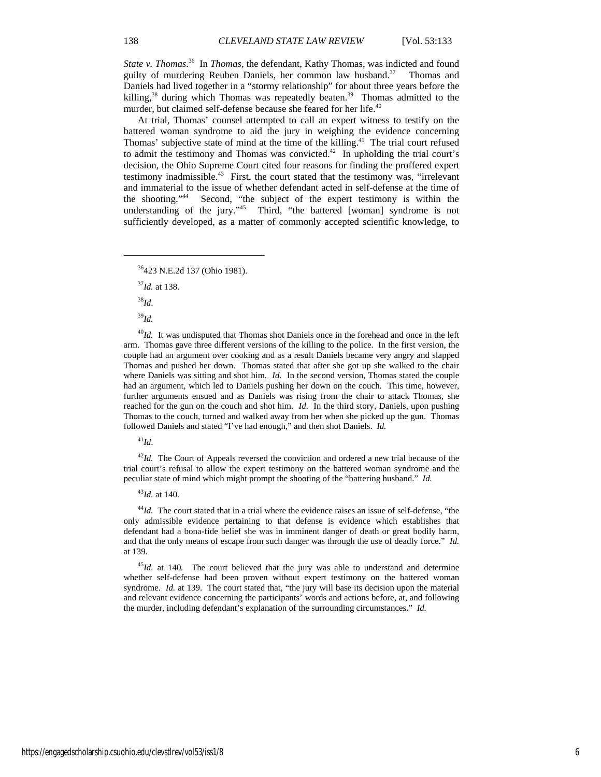*State v. Thomas*. 36 In *Thomas*, the defendant, Kathy Thomas, was indicted and found guilty of murdering Reuben Daniels, her common law husband.<sup>37</sup> Thomas and Daniels had lived together in a "stormy relationship" for about three years before the killing,<sup>38</sup> during which Thomas was repeatedly beaten.<sup>39</sup> Thomas admitted to the murder, but claimed self-defense because she feared for her life.<sup>40</sup>

At trial, Thomas' counsel attempted to call an expert witness to testify on the battered woman syndrome to aid the jury in weighing the evidence concerning Thomas' subjective state of mind at the time of the killing.<sup>41</sup> The trial court refused to admit the testimony and Thomas was convicted.<sup>42</sup> In upholding the trial court's decision, the Ohio Supreme Court cited four reasons for finding the proffered expert testimony inadmissible. $43$  First, the court stated that the testimony was, "irrelevant and immaterial to the issue of whether defendant acted in self-defense at the time of the shooting."44 Second, "the subject of the expert testimony is within the understanding of the jury."<sup>45</sup> Third, "the battered [woman] syndrome is not sufficiently developed, as a matter of commonly accepted scientific knowledge, to

<sup>37</sup>*Id.* at 138.

<sup>38</sup>*Id*.

 $\overline{a}$ 

<sup>39</sup>*Id.*

<sup>40</sup>*Id.* It was undisputed that Thomas shot Daniels once in the forehead and once in the left arm. Thomas gave three different versions of the killing to the police. In the first version, the couple had an argument over cooking and as a result Daniels became very angry and slapped Thomas and pushed her down. Thomas stated that after she got up she walked to the chair where Daniels was sitting and shot him. *Id.* In the second version, Thomas stated the couple had an argument, which led to Daniels pushing her down on the couch. This time, however, further arguments ensued and as Daniels was rising from the chair to attack Thomas, she reached for the gun on the couch and shot him. *Id*. In the third story, Daniels, upon pushing Thomas to the couch, turned and walked away from her when she picked up the gun. Thomas followed Daniels and stated "I've had enough," and then shot Daniels. *Id.*

<sup>41</sup>*Id*.

<sup>42</sup>*Id.* The Court of Appeals reversed the conviction and ordered a new trial because of the trial court's refusal to allow the expert testimony on the battered woman syndrome and the peculiar state of mind which might prompt the shooting of the "battering husband." *Id.*

<sup>43</sup>*Id.* at 140.

<sup>44</sup>*Id.* The court stated that in a trial where the evidence raises an issue of self-defense, "the only admissible evidence pertaining to that defense is evidence which establishes that defendant had a bona-fide belief she was in imminent danger of death or great bodily harm, and that the only means of escape from such danger was through the use of deadly force." *Id.* at 139.

<sup>45</sup>*Id.* at 140*.* The court believed that the jury was able to understand and determine whether self-defense had been proven without expert testimony on the battered woman syndrome. *Id.* at 139. The court stated that, "the jury will base its decision upon the material and relevant evidence concerning the participants' words and actions before, at, and following the murder, including defendant's explanation of the surrounding circumstances." *Id.*

<sup>36423</sup> N.E.2d 137 (Ohio 1981).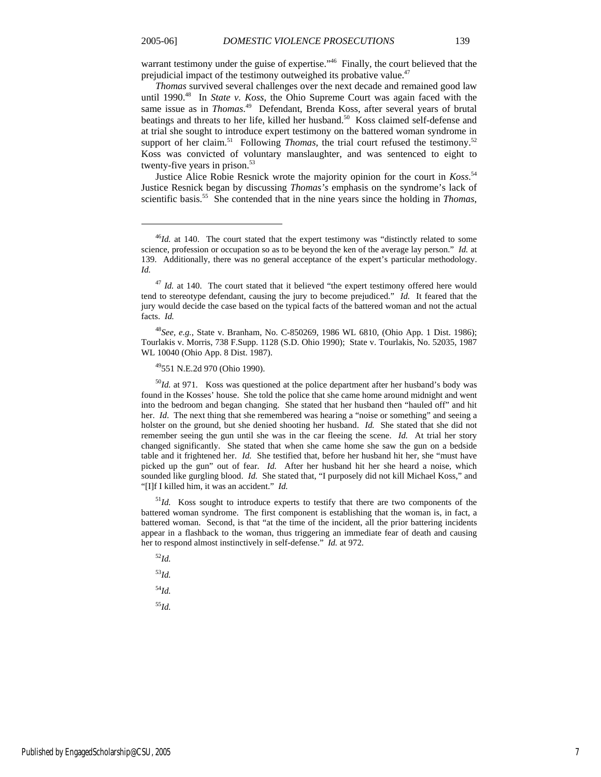warrant testimony under the guise of expertise."<sup>46</sup> Finally, the court believed that the prejudicial impact of the testimony outweighed its probative value.<sup>47</sup>

*Thomas* survived several challenges over the next decade and remained good law until 1990.<sup>48</sup> In *State v. Koss*, the Ohio Supreme Court was again faced with the same issue as in *Thomas*. 49 Defendant, Brenda Koss, after several years of brutal beatings and threats to her life, killed her husband.<sup>50</sup> Koss claimed self-defense and at trial she sought to introduce expert testimony on the battered woman syndrome in support of her claim.<sup>51</sup> Following *Thomas*, the trial court refused the testimony.<sup>52</sup> Koss was convicted of voluntary manslaughter, and was sentenced to eight to twenty-five years in prison. $53$ 

Justice Alice Robie Resnick wrote the majority opinion for the court in *Koss*. 54 Justice Resnick began by discussing *Thomas's* emphasis on the syndrome's lack of scientific basis.55 She contended that in the nine years since the holding in *Thomas*,

<sup>48</sup>*See, e.g.*, State v. Branham, No. C-850269, 1986 WL 6810, (Ohio App. 1 Dist. 1986); Tourlakis v. Morris, 738 F.Supp. 1128 (S.D. Ohio 1990); State v. Tourlakis, No. 52035, 1987 WL 10040 (Ohio App. 8 Dist. 1987).

49551 N.E.2d 970 (Ohio 1990).

<sup>50</sup>*Id.* at 971. Koss was questioned at the police department after her husband's body was found in the Kosses' house. She told the police that she came home around midnight and went into the bedroom and began changing. She stated that her husband then "hauled off" and hit her. *Id*. The next thing that she remembered was hearing a "noise or something" and seeing a holster on the ground, but she denied shooting her husband. *Id.* She stated that she did not remember seeing the gun until she was in the car fleeing the scene. *Id.* At trial her story changed significantly. She stated that when she came home she saw the gun on a bedside table and it frightened her. *Id.* She testified that, before her husband hit her, she "must have picked up the gun" out of fear. *Id.* After her husband hit her she heard a noise, which sounded like gurgling blood. *Id.* She stated that, "I purposely did not kill Michael Koss," and "[I]f I killed him, it was an accident." *Id.*

<sup>51</sup>*Id.* Koss sought to introduce experts to testify that there are two components of the battered woman syndrome. The first component is establishing that the woman is, in fact, a battered woman. Second, is that "at the time of the incident, all the prior battering incidents appear in a flashback to the woman, thus triggering an immediate fear of death and causing her to respond almost instinctively in self-defense." *Id.* at 972.

<sup>52</sup>*Id.* <sup>53</sup>*Id.* <sup>54</sup>*Id.*

 $\overline{a}$ 

<sup>55</sup>*Id.*

<sup>&</sup>lt;sup>46</sup>*Id.* at 140. The court stated that the expert testimony was "distinctly related to some science, profession or occupation so as to be beyond the ken of the average lay person." *Id.* at 139. Additionally, there was no general acceptance of the expert's particular methodology. *Id.*

<sup>&</sup>lt;sup>47</sup> *Id.* at 140. The court stated that it believed "the expert testimony offered here would tend to stereotype defendant, causing the jury to become prejudiced." *Id.* It feared that the jury would decide the case based on the typical facts of the battered woman and not the actual facts. *Id.*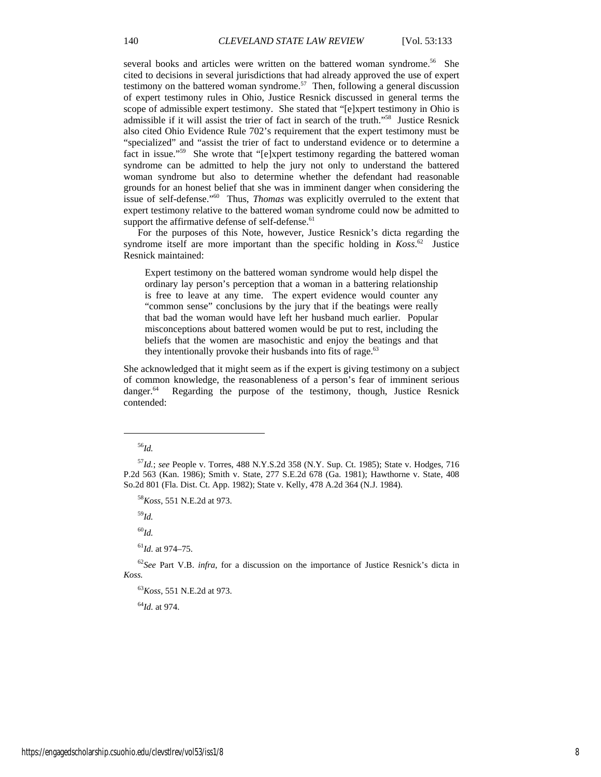several books and articles were written on the battered woman syndrome.<sup>56</sup> She cited to decisions in several jurisdictions that had already approved the use of expert testimony on the battered woman syndrome.<sup>57</sup> Then, following a general discussion of expert testimony rules in Ohio, Justice Resnick discussed in general terms the scope of admissible expert testimony. She stated that "[e]xpert testimony in Ohio is admissible if it will assist the trier of fact in search of the truth."58 Justice Resnick also cited Ohio Evidence Rule 702's requirement that the expert testimony must be "specialized" and "assist the trier of fact to understand evidence or to determine a fact in issue."<sup>59</sup> She wrote that "[e]xpert testimony regarding the battered woman syndrome can be admitted to help the jury not only to understand the battered woman syndrome but also to determine whether the defendant had reasonable grounds for an honest belief that she was in imminent danger when considering the issue of self-defense."60 Thus, *Thomas* was explicitly overruled to the extent that expert testimony relative to the battered woman syndrome could now be admitted to support the affirmative defense of self-defense.<sup>61</sup>

For the purposes of this Note, however, Justice Resnick's dicta regarding the syndrome itself are more important than the specific holding in *Koss*. 62 Justice Resnick maintained:

Expert testimony on the battered woman syndrome would help dispel the ordinary lay person's perception that a woman in a battering relationship is free to leave at any time. The expert evidence would counter any "common sense" conclusions by the jury that if the beatings were really that bad the woman would have left her husband much earlier. Popular misconceptions about battered women would be put to rest, including the beliefs that the women are masochistic and enjoy the beatings and that they intentionally provoke their husbands into fits of rage.<sup>63</sup>

She acknowledged that it might seem as if the expert is giving testimony on a subject of common knowledge, the reasonableness of a person's fear of imminent serious danger.<sup>64</sup> Regarding the purpose of the testimony, though, Justice Resnick contended:

<sup>56</sup>*Id.*

 $\overline{a}$ 

<sup>59</sup>*Id.*

<sup>60</sup>*Id.*

<sup>61</sup>*Id*. at 974–75.

<sup>62</sup>*See* Part V.B. *infra*, for a discussion on the importance of Justice Resnick's dicta in *Koss.*

<sup>63</sup>*Koss*, 551 N.E.2d at 973.

<sup>64</sup>*Id.* at 974.

<sup>57</sup>*Id.*; *see* People v. Torres, 488 N.Y.S.2d 358 (N.Y. Sup. Ct. 1985); State v. Hodges, 716 P.2d 563 (Kan. 1986); Smith v. State, 277 S.E.2d 678 (Ga. 1981); Hawthorne v. State, 408 So.2d 801 (Fla. Dist. Ct. App. 1982); State v. Kelly, 478 A.2d 364 (N.J. 1984).

<sup>58</sup>*Koss*, 551 N.E.2d at 973.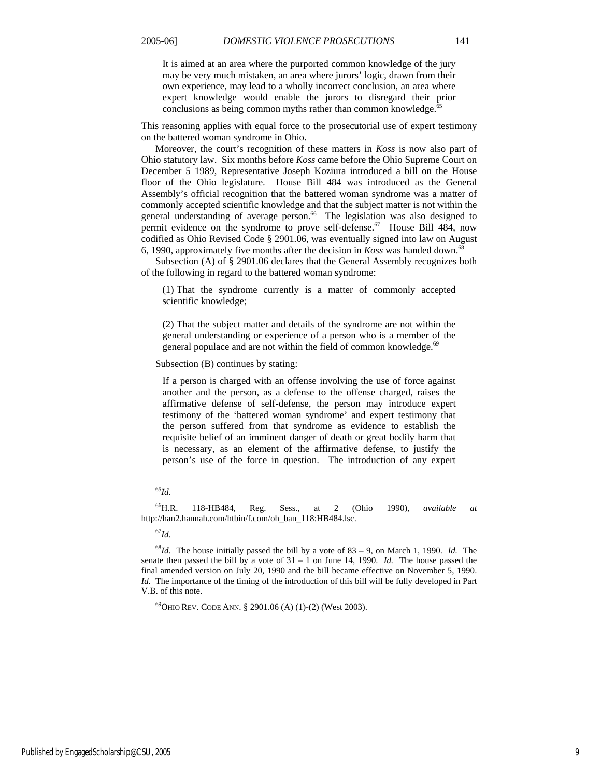It is aimed at an area where the purported common knowledge of the jury may be very much mistaken, an area where jurors' logic, drawn from their own experience, may lead to a wholly incorrect conclusion, an area where expert knowledge would enable the jurors to disregard their prior conclusions as being common myths rather than common knowledge. $65$ 

This reasoning applies with equal force to the prosecutorial use of expert testimony on the battered woman syndrome in Ohio.

Moreover, the court's recognition of these matters in *Koss* is now also part of Ohio statutory law. Six months before *Koss* came before the Ohio Supreme Court on December 5 1989, Representative Joseph Koziura introduced a bill on the House floor of the Ohio legislature. House Bill 484 was introduced as the General Assembly's official recognition that the battered woman syndrome was a matter of commonly accepted scientific knowledge and that the subject matter is not within the general understanding of average person.<sup>66</sup> The legislation was also designed to permit evidence on the syndrome to prove self-defense.<sup>67</sup> House Bill 484, now codified as Ohio Revised Code § 2901.06, was eventually signed into law on August 6, 1990, approximately five months after the decision in *Koss* was handed down.68

Subsection (A) of § 2901.06 declares that the General Assembly recognizes both of the following in regard to the battered woman syndrome:

(1) That the syndrome currently is a matter of commonly accepted scientific knowledge;

(2) That the subject matter and details of the syndrome are not within the general understanding or experience of a person who is a member of the general populace and are not within the field of common knowledge.<sup>69</sup>

Subsection (B) continues by stating:

If a person is charged with an offense involving the use of force against another and the person, as a defense to the offense charged, raises the affirmative defense of self-defense, the person may introduce expert testimony of the 'battered woman syndrome' and expert testimony that the person suffered from that syndrome as evidence to establish the requisite belief of an imminent danger of death or great bodily harm that is necessary, as an element of the affirmative defense, to justify the person's use of the force in question. The introduction of any expert

## <sup>65</sup>*Id.*

l

66H.R. 118-HB484, Reg. Sess., at 2 (Ohio 1990), *available at* http://han2.hannah.com/htbin/f.com/oh\_ban\_118:HB484.lsc.

<sup>67</sup>*Id.*

<sup>68</sup>*Id.* The house initially passed the bill by a vote of 83 – 9, on March 1, 1990. *Id.* The senate then passed the bill by a vote of 31 – 1 on June 14, 1990. *Id.* The house passed the final amended version on July 20, 1990 and the bill became effective on November 5, 1990. *Id.* The importance of the timing of the introduction of this bill will be fully developed in Part V.B. of this note.

 $^{69}$ OHIO REV. CODE ANN. § 2901.06 (A) (1)-(2) (West 2003).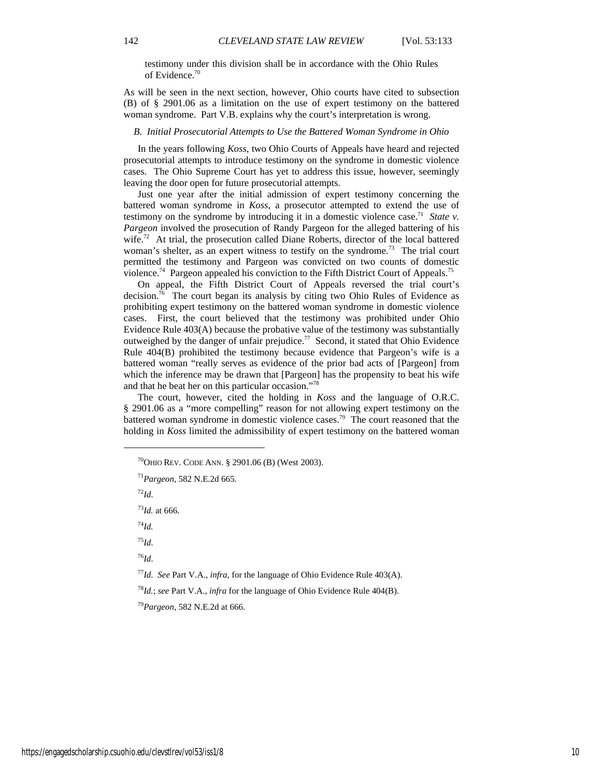testimony under this division shall be in accordance with the Ohio Rules of Evidence.<sup>70</sup>

As will be seen in the next section, however, Ohio courts have cited to subsection (B) of § 2901.06 as a limitation on the use of expert testimony on the battered woman syndrome. Part V.B. explains why the court's interpretation is wrong.

#### *B. Initial Prosecutorial Attempts to Use the Battered Woman Syndrome in Ohio*

In the years following *Koss*, two Ohio Courts of Appeals have heard and rejected prosecutorial attempts to introduce testimony on the syndrome in domestic violence cases. The Ohio Supreme Court has yet to address this issue, however, seemingly leaving the door open for future prosecutorial attempts.

Just one year after the initial admission of expert testimony concerning the battered woman syndrome in *Koss*, a prosecutor attempted to extend the use of testimony on the syndrome by introducing it in a domestic violence case.71 *State v. Pargeon* involved the prosecution of Randy Pargeon for the alleged battering of his wife.<sup>72</sup> At trial, the prosecution called Diane Roberts, director of the local battered woman's shelter, as an expert witness to testify on the syndrome.<sup>73</sup> The trial court permitted the testimony and Pargeon was convicted on two counts of domestic violence.<sup>74</sup> Pargeon appealed his conviction to the Fifth District Court of Appeals.<sup>75</sup>

On appeal, the Fifth District Court of Appeals reversed the trial court's decision.<sup>76</sup> The court began its analysis by citing two Ohio Rules of Evidence as prohibiting expert testimony on the battered woman syndrome in domestic violence cases. First, the court believed that the testimony was prohibited under Ohio Evidence Rule 403(A) because the probative value of the testimony was substantially outweighed by the danger of unfair prejudice.77 Second, it stated that Ohio Evidence Rule 404(B) prohibited the testimony because evidence that Pargeon's wife is a battered woman "really serves as evidence of the prior bad acts of [Pargeon] from which the inference may be drawn that [Pargeon] has the propensity to beat his wife and that he beat her on this particular occasion."78

The court, however, cited the holding in *Koss* and the language of O.R.C. § 2901.06 as a "more compelling" reason for not allowing expert testimony on the battered woman syndrome in domestic violence cases.<sup>79</sup> The court reasoned that the holding in *Koss* limited the admissibility of expert testimony on the battered woman

<sup>71</sup>*Pargeon,* 582 N.E.2d 665*.*

<sup>72</sup>*Id*.

l

<sup>73</sup>*Id.* at 666.

<sup>74</sup>*Id.*

<sup>75</sup>*Id*.

<sup>76</sup>*Id*.

<sup>77</sup>*Id. See* Part V.A., *infra*, for the language of Ohio Evidence Rule 403(A).

<sup>78</sup>*Id.*; *see* Part V.A., *infra* for the language of Ohio Evidence Rule 404(B).

<sup>79</sup>*Pargeon*, 582 N.E.2d at 666.

 $^{70}$ OHIO REV. CODE ANN. § 2901.06 (B) (West 2003).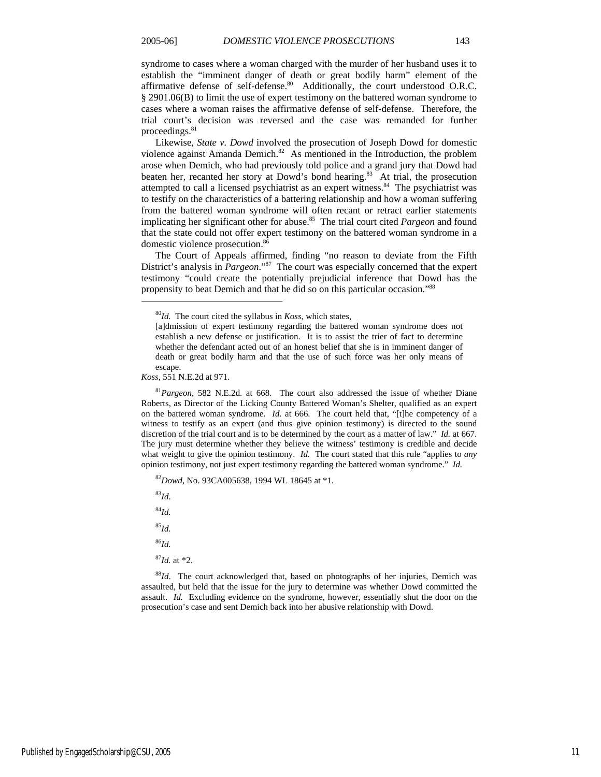syndrome to cases where a woman charged with the murder of her husband uses it to establish the "imminent danger of death or great bodily harm" element of the affirmative defense of self-defense.<sup>80</sup> Additionally, the court understood O.R.C. § 2901.06(B) to limit the use of expert testimony on the battered woman syndrome to cases where a woman raises the affirmative defense of self-defense. Therefore, the trial court's decision was reversed and the case was remanded for further proceedings.<sup>81</sup>

Likewise, *State v. Dowd* involved the prosecution of Joseph Dowd for domestic violence against Amanda Demich.<sup>82</sup> As mentioned in the Introduction, the problem arose when Demich, who had previously told police and a grand jury that Dowd had beaten her, recanted her story at Dowd's bond hearing.<sup>83</sup> At trial, the prosecution attempted to call a licensed psychiatrist as an expert witness.<sup>84</sup> The psychiatrist was to testify on the characteristics of a battering relationship and how a woman suffering from the battered woman syndrome will often recant or retract earlier statements implicating her significant other for abuse.85 The trial court cited *Pargeon* and found that the state could not offer expert testimony on the battered woman syndrome in a domestic violence prosecution.<sup>86</sup>

The Court of Appeals affirmed, finding "no reason to deviate from the Fifth District's analysis in *Pargeon*."<sup>87</sup> The court was especially concerned that the expert testimony "could create the potentially prejudicial inference that Dowd has the propensity to beat Demich and that he did so on this particular occasion."88

*Koss*, 551 N.E.2d at 971.

<sup>81</sup>*Pargeon*, 582 N.E.2d. at 668. The court also addressed the issue of whether Diane Roberts, as Director of the Licking County Battered Woman's Shelter, qualified as an expert on the battered woman syndrome. *Id.* at 666. The court held that, "[t]he competency of a witness to testify as an expert (and thus give opinion testimony) is directed to the sound discretion of the trial court and is to be determined by the court as a matter of law." *Id.* at 667. The jury must determine whether they believe the witness' testimony is credible and decide what weight to give the opinion testimony. *Id.* The court stated that this rule "applies to *any* opinion testimony, not just expert testimony regarding the battered woman syndrome." *Id.*

<sup>82</sup>*Dowd,* No. 93CA005638, 1994 WL 18645 at \*1.

<sup>83</sup>*Id*.

 $\overline{a}$ 

<sup>84</sup>*Id.*

<sup>85</sup>*Id.*

<sup>86</sup>*Id.*

<sup>87</sup>*Id.* at \*2.

<sup>88</sup>*Id*.The court acknowledged that, based on photographs of her injuries, Demich was assaulted, but held that the issue for the jury to determine was whether Dowd committed the assault. *Id.* Excluding evidence on the syndrome, however, essentially shut the door on the prosecution's case and sent Demich back into her abusive relationship with Dowd.

<sup>80</sup>*Id.* The court cited the syllabus in *Koss*, which states,

<sup>[</sup>a]dmission of expert testimony regarding the battered woman syndrome does not establish a new defense or justification. It is to assist the trier of fact to determine whether the defendant acted out of an honest belief that she is in imminent danger of death or great bodily harm and that the use of such force was her only means of escape.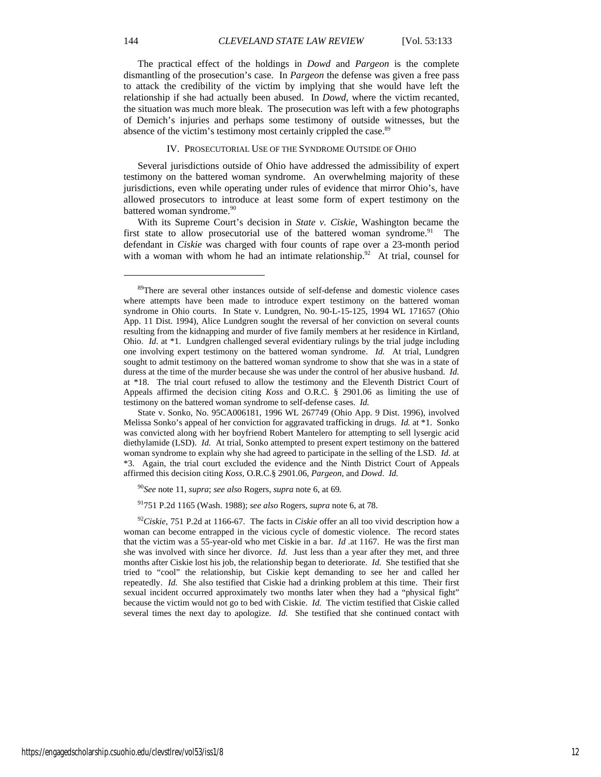The practical effect of the holdings in *Dowd* and *Pargeon* is the complete dismantling of the prosecution's case. In *Pargeon* the defense was given a free pass to attack the credibility of the victim by implying that she would have left the relationship if she had actually been abused. In *Dowd*, where the victim recanted, the situation was much more bleak. The prosecution was left with a few photographs of Demich's injuries and perhaps some testimony of outside witnesses, but the absence of the victim's testimony most certainly crippled the case.<sup>89</sup>

#### IV. PROSECUTORIAL USE OF THE SYNDROME OUTSIDE OF OHIO

Several jurisdictions outside of Ohio have addressed the admissibility of expert testimony on the battered woman syndrome. An overwhelming majority of these jurisdictions, even while operating under rules of evidence that mirror Ohio's, have allowed prosecutors to introduce at least some form of expert testimony on the battered woman syndrome.<sup>90</sup>

With its Supreme Court's decision in *State v. Ciskie*, Washington became the first state to allow prosecutorial use of the battered woman syndrome.<sup>91</sup> The defendant in *Ciskie* was charged with four counts of rape over a 23-month period with a woman with whom he had an intimate relationship.<sup>92</sup> At trial, counsel for

<sup>&</sup>lt;sup>89</sup>There are several other instances outside of self-defense and domestic violence cases where attempts have been made to introduce expert testimony on the battered woman syndrome in Ohio courts. In State v. Lundgren, No. 90-L-15-125, 1994 WL 171657 (Ohio App. 11 Dist. 1994), Alice Lundgren sought the reversal of her conviction on several counts resulting from the kidnapping and murder of five family members at her residence in Kirtland, Ohio. *Id*. at \*1. Lundgren challenged several evidentiary rulings by the trial judge including one involving expert testimony on the battered woman syndrome. *Id.* At trial, Lundgren sought to admit testimony on the battered woman syndrome to show that she was in a state of duress at the time of the murder because she was under the control of her abusive husband. *Id.* at \*18. The trial court refused to allow the testimony and the Eleventh District Court of Appeals affirmed the decision citing *Koss* and O.R.C. § 2901.06 as limiting the use of testimony on the battered woman syndrome to self-defense cases. *Id.*

State v. Sonko, No. 95CA006181, 1996 WL 267749 (Ohio App. 9 Dist. 1996), involved Melissa Sonko's appeal of her conviction for aggravated trafficking in drugs. *Id.* at \*1. Sonko was convicted along with her boyfriend Robert Mantelero for attempting to sell lysergic acid diethylamide (LSD). *Id.* At trial, Sonko attempted to present expert testimony on the battered woman syndrome to explain why she had agreed to participate in the selling of the LSD. *Id.* at \*3. Again, the trial court excluded the evidence and the Ninth District Court of Appeals affirmed this decision citing *Koss,* O.R.C.§ 2901.06, *Pargeon*, and *Dowd*. *Id.*

<sup>90</sup>*See* note 11, *supra*; *see also* Rogers, *supra* note 6, at 69*.*

<sup>91751</sup> P.2d 1165 (Wash. 1988); *see also* Rogers, *supra* note 6, at 78.

<sup>92</sup>*Ciskie*, 751 P.2d at 1166-67. The facts in *Ciskie* offer an all too vivid description how a woman can become entrapped in the vicious cycle of domestic violence. The record states that the victim was a 55-year-old who met Ciskie in a bar. *Id .*at 1167. He was the first man she was involved with since her divorce. *Id.* Just less than a year after they met, and three months after Ciskie lost his job, the relationship began to deteriorate. *Id.* She testified that she tried to "cool" the relationship, but Ciskie kept demanding to see her and called her repeatedly. *Id.* She also testified that Ciskie had a drinking problem at this time. Their first sexual incident occurred approximately two months later when they had a "physical fight" because the victim would not go to bed with Ciskie. *Id.* The victim testified that Ciskie called several times the next day to apologize. *Id.* She testified that she continued contact with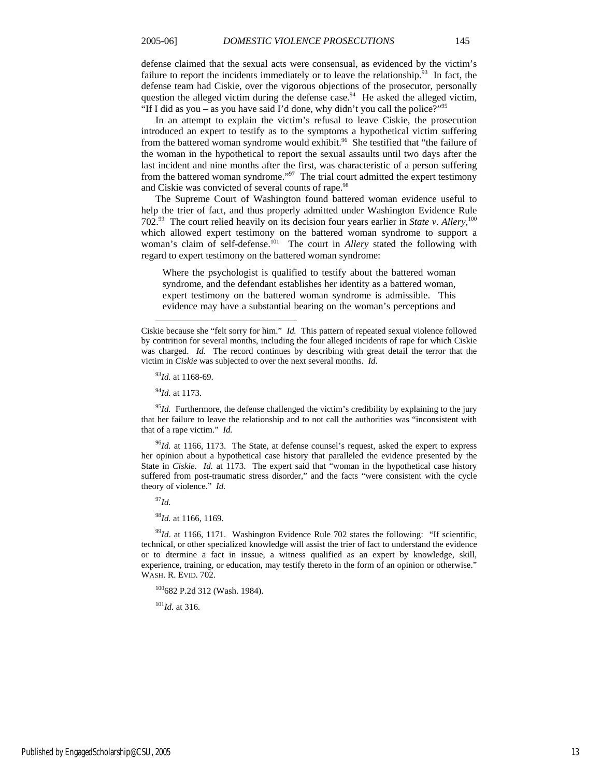defense claimed that the sexual acts were consensual, as evidenced by the victim's failure to report the incidents immediately or to leave the relationship.<sup>93</sup> In fact, the defense team had Ciskie, over the vigorous objections of the prosecutor, personally question the alleged victim during the defense case. $94$  He asked the alleged victim, "If I did as you – as you have said I'd done, why didn't you call the police?"<sup>95</sup>

In an attempt to explain the victim's refusal to leave Ciskie, the prosecution introduced an expert to testify as to the symptoms a hypothetical victim suffering from the battered woman syndrome would exhibit.<sup>96</sup> She testified that "the failure of the woman in the hypothetical to report the sexual assaults until two days after the last incident and nine months after the first, was characteristic of a person suffering from the battered woman syndrome."97 The trial court admitted the expert testimony and Ciskie was convicted of several counts of rape.<sup>98</sup>

The Supreme Court of Washington found battered woman evidence useful to help the trier of fact, and thus properly admitted under Washington Evidence Rule 702.99 The court relied heavily on its decision four years earlier in *State v. Allery,*<sup>100</sup> which allowed expert testimony on the battered woman syndrome to support a woman's claim of self-defense.<sup>101</sup> The court in *Allery* stated the following with regard to expert testimony on the battered woman syndrome:

Where the psychologist is qualified to testify about the battered woman syndrome, and the defendant establishes her identity as a battered woman, expert testimony on the battered woman syndrome is admissible. This evidence may have a substantial bearing on the woman's perceptions and

l

<sup>95</sup>*Id.* Furthermore, the defense challenged the victim's credibility by explaining to the jury that her failure to leave the relationship and to not call the authorities was "inconsistent with that of a rape victim." *Id.*

<sup>96</sup>*Id.* at 1166, 1173. The State, at defense counsel's request, asked the expert to express her opinion about a hypothetical case history that paralleled the evidence presented by the State in *Ciskie*. *Id.* at 1173. The expert said that "woman in the hypothetical case history suffered from post-traumatic stress disorder," and the facts "were consistent with the cycle theory of violence." *Id.*

<sup>97</sup>*Id.*

<sup>98</sup>*Id.* at 1166, 1169.

<sup>99</sup>*Id.* at 1166, 1171. Washington Evidence Rule 702 states the following: "If scientific, technical, or other specialized knowledge will assist the trier of fact to understand the evidence or to dtermine a fact in inssue, a witness qualified as an expert by knowledge, skill, experience, training, or education, may testify thereto in the form of an opinion or otherwise." WASH. R. EVID. 702.

100682 P.2d 312 (Wash. 1984).

<sup>101</sup>*Id.* at 316.

Ciskie because she "felt sorry for him." *Id.* This pattern of repeated sexual violence followed by contrition for several months, including the four alleged incidents of rape for which Ciskie was charged. *Id.* The record continues by describing with great detail the terror that the victim in *Ciskie* was subjected to over the next several months. *Id*.

<sup>93</sup>*Id.* at 1168-69.

<sup>94</sup>*Id.* at 1173.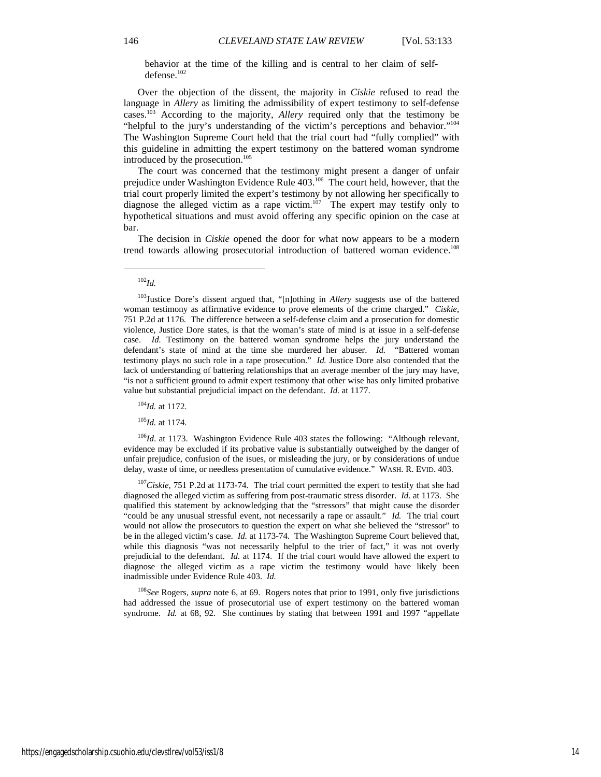behavior at the time of the killing and is central to her claim of selfdefense.102

Over the objection of the dissent, the majority in *Ciskie* refused to read the language in *Allery* as limiting the admissibility of expert testimony to self-defense cases.103 According to the majority, *Allery* required only that the testimony be "helpful to the jury's understanding of the victim's perceptions and behavior."<sup>104</sup> The Washington Supreme Court held that the trial court had "fully complied" with this guideline in admitting the expert testimony on the battered woman syndrome introduced by the prosecution.<sup>105</sup>

The court was concerned that the testimony might present a danger of unfair prejudice under Washington Evidence Rule 403.106 The court held, however, that the trial court properly limited the expert's testimony by not allowing her specifically to diagnose the alleged victim as a rape victim.<sup>107</sup> The expert may testify only to hypothetical situations and must avoid offering any specific opinion on the case at bar.

The decision in *Ciskie* opened the door for what now appears to be a modern trend towards allowing prosecutorial introduction of battered woman evidence.<sup>108</sup>

l

<sup>104</sup>*Id.* at 1172.

<sup>105</sup>*Id.* at 1174.

<sup>106</sup>*Id.* at 1173. Washington Evidence Rule 403 states the following: "Although relevant, evidence may be excluded if its probative value is substantially outweighed by the danger of unfair prejudice, confusion of the isues, or misleading the jury, or by considerations of undue delay, waste of time, or needless presentation of cumulative evidence." WASH. R. EVID. 403.

<sup>107</sup>Ciskie, 751 P.2d at 1173-74. The trial court permitted the expert to testify that she had diagnosed the alleged victim as suffering from post-traumatic stress disorder. *Id.* at 1173. She qualified this statement by acknowledging that the "stressors" that might cause the disorder "could be any unusual stressful event, not necessarily a rape or assault." *Id.* The trial court would not allow the prosecutors to question the expert on what she believed the "stressor" to be in the alleged victim's case. *Id.* at 1173-74. The Washington Supreme Court believed that, while this diagnosis "was not necessarily helpful to the trier of fact," it was not overly prejudicial to the defendant. *Id.* at 1174. If the trial court would have allowed the expert to diagnose the alleged victim as a rape victim the testimony would have likely been inadmissible under Evidence Rule 403. *Id.*

<sup>108</sup>*See* Rogers, *supra* note 6, at 69. Rogers notes that prior to 1991, only five jurisdictions had addressed the issue of prosecutorial use of expert testimony on the battered woman syndrome. *Id.* at 68, 92. She continues by stating that between 1991 and 1997 "appellate

<sup>102</sup>*Id.*

<sup>103</sup>Justice Dore's dissent argued that, "[n]othing in *Allery* suggests use of the battered woman testimony as affirmative evidence to prove elements of the crime charged." *Ciskie*, 751 P.2d at 1176. The difference between a self-defense claim and a prosecution for domestic violence, Justice Dore states, is that the woman's state of mind is at issue in a self-defense case. *Id.* Testimony on the battered woman syndrome helps the jury understand the defendant's state of mind at the time she murdered her abuser. *Id.* "Battered woman testimony plays no such role in a rape prosecution." *Id.* Justice Dore also contended that the lack of understanding of battering relationships that an average member of the jury may have, "is not a sufficient ground to admit expert testimony that other wise has only limited probative value but substantial prejudicial impact on the defendant. *Id.* at 1177.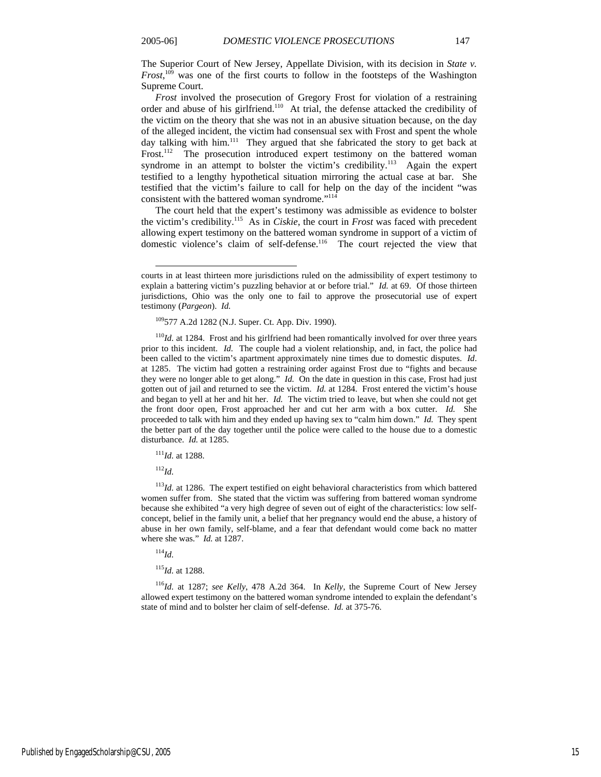The Superior Court of New Jersey, Appellate Division, with its decision in *State v. Frost*, 109 was one of the first courts to follow in the footsteps of the Washington Supreme Court.

*Frost* involved the prosecution of Gregory Frost for violation of a restraining order and abuse of his girlfriend.110 At trial, the defense attacked the credibility of the victim on the theory that she was not in an abusive situation because, on the day of the alleged incident, the victim had consensual sex with Frost and spent the whole day talking with him. $111$  They argued that she fabricated the story to get back at Frost.<sup>112</sup> The prosecution introduced expert testimony on the battered woman syndrome in an attempt to bolster the victim's credibility.<sup>113</sup> Again the expert testified to a lengthy hypothetical situation mirroring the actual case at bar. She testified that the victim's failure to call for help on the day of the incident "was consistent with the battered woman syndrome."114

The court held that the expert's testimony was admissible as evidence to bolster the victim's credibility.115 As in *Ciskie*, the court in *Frost* was faced with precedent allowing expert testimony on the battered woman syndrome in support of a victim of domestic violence's claim of self-defense.116 The court rejected the view that

109577 A.2d 1282 (N.J. Super. Ct. App. Div. 1990).

<sup>110</sup>*Id.* at 1284. Frost and his girlfriend had been romantically involved for over three years prior to this incident. *Id.* The couple had a violent relationship, and, in fact, the police had been called to the victim's apartment approximately nine times due to domestic disputes. *Id*. at 1285. The victim had gotten a restraining order against Frost due to "fights and because they were no longer able to get along." *Id.* On the date in question in this case, Frost had just gotten out of jail and returned to see the victim. *Id.* at 1284. Frost entered the victim's house and began to yell at her and hit her. *Id.* The victim tried to leave, but when she could not get the front door open, Frost approached her and cut her arm with a box cutter. *Id.* She proceeded to talk with him and they ended up having sex to "calm him down." *Id.* They spent the better part of the day together until the police were called to the house due to a domestic disturbance. *Id.* at 1285.

<sup>111</sup>*Id.* at 1288.

<sup>112</sup>*Id.*

l

 $113$ *Id.* at 1286. The expert testified on eight behavioral characteristics from which battered women suffer from. She stated that the victim was suffering from battered woman syndrome because she exhibited "a very high degree of seven out of eight of the characteristics: low selfconcept, belief in the family unit, a belief that her pregnancy would end the abuse, a history of abuse in her own family, self-blame, and a fear that defendant would come back no matter where she was." *Id.* at 1287.

<sup>114</sup>*Id.*

<sup>115</sup>*Id.* at 1288.

<sup>116</sup>*Id.* at 1287; *see Kelly*, 478 A.2d 364. In *Kelly*, the Supreme Court of New Jersey allowed expert testimony on the battered woman syndrome intended to explain the defendant's state of mind and to bolster her claim of self-defense. *Id.* at 375-76.

courts in at least thirteen more jurisdictions ruled on the admissibility of expert testimony to explain a battering victim's puzzling behavior at or before trial." *Id.* at 69. Of those thirteen jurisdictions, Ohio was the only one to fail to approve the prosecutorial use of expert testimony (*Pargeon*). *Id.*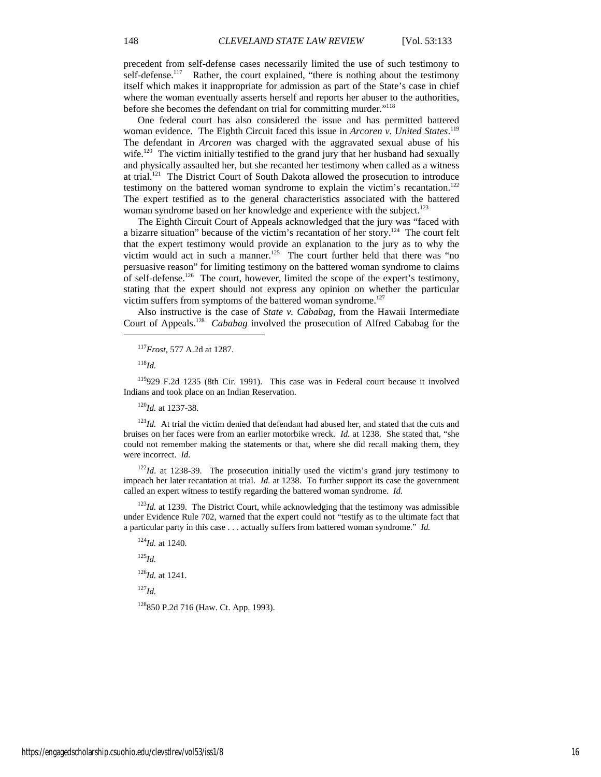precedent from self-defense cases necessarily limited the use of such testimony to self-defense.<sup>117</sup> Rather, the court explained, "there is nothing about the testimony itself which makes it inappropriate for admission as part of the State's case in chief where the woman eventually asserts herself and reports her abuser to the authorities, before she becomes the defendant on trial for committing murder."118

One federal court has also considered the issue and has permitted battered woman evidence. The Eighth Circuit faced this issue in *Arcoren v. United States*. 119 The defendant in *Arcoren* was charged with the aggravated sexual abuse of his wife.<sup>120</sup> The victim initially testified to the grand jury that her husband had sexually and physically assaulted her, but she recanted her testimony when called as a witness at trial.121 The District Court of South Dakota allowed the prosecution to introduce testimony on the battered woman syndrome to explain the victim's recantation.<sup>122</sup> The expert testified as to the general characteristics associated with the battered woman syndrome based on her knowledge and experience with the subject.<sup>123</sup>

The Eighth Circuit Court of Appeals acknowledged that the jury was "faced with a bizarre situation" because of the victim's recantation of her story.<sup>124</sup> The court felt that the expert testimony would provide an explanation to the jury as to why the victim would act in such a manner.<sup>125</sup> The court further held that there was "no persuasive reason" for limiting testimony on the battered woman syndrome to claims of self-defense.126 The court, however, limited the scope of the expert's testimony, stating that the expert should not express any opinion on whether the particular victim suffers from symptoms of the battered woman syndrome.<sup>127</sup>

Also instructive is the case of *State v. Cababag*, from the Hawaii Intermediate Court of Appeals.128 *Cababag* involved the prosecution of Alfred Cababag for the

<sup>118</sup>*Id.*

l

119929 F.2d 1235 (8th Cir. 1991). This case was in Federal court because it involved Indians and took place on an Indian Reservation.

<sup>120</sup>*Id.* at 1237-38.

 $121$ *Id.* At trial the victim denied that defendant had abused her, and stated that the cuts and bruises on her faces were from an earlier motorbike wreck. *Id.* at 1238. She stated that, "she could not remember making the statements or that, where she did recall making them, they were incorrect. *Id.*

<sup>122</sup>*Id*. at 1238-39. The prosecution initially used the victim's grand jury testimony to impeach her later recantation at trial. *Id.* at 1238. To further support its case the government called an expert witness to testify regarding the battered woman syndrome. *Id.*

 $123$ *Id.* at 1239. The District Court, while acknowledging that the testimony was admissible under Evidence Rule 702, warned that the expert could not "testify as to the ultimate fact that a particular party in this case . . . actually suffers from battered woman syndrome." *Id.*

<sup>124</sup>*Id.* at 1240.

<sup>125</sup>*Id.*

<sup>126</sup>*Id.* at 1241.

<sup>127</sup>*Id.*

128850 P.2d 716 (Haw. Ct. App. 1993).

<sup>117</sup>*Frost*, 577 A.2d at 1287.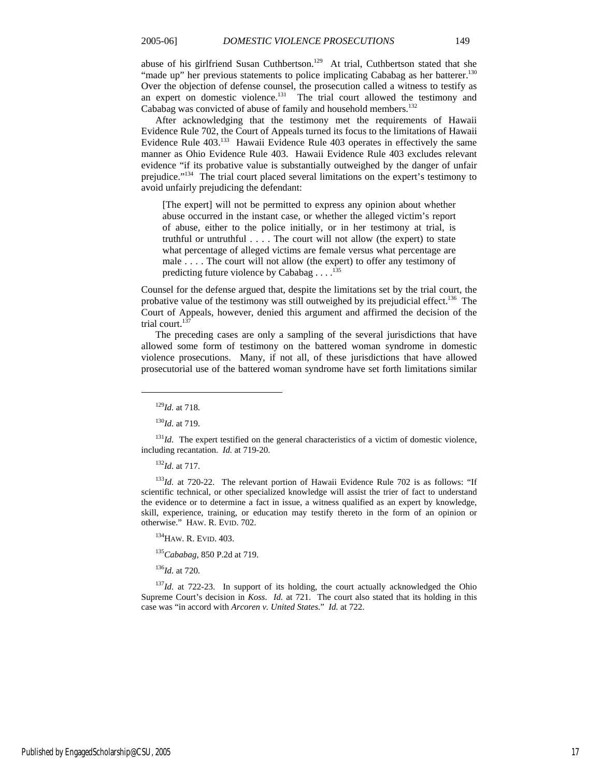abuse of his girlfriend Susan Cuthbertson.<sup>129</sup> At trial, Cuthbertson stated that she "made up" her previous statements to police implicating Cababag as her batterer.<sup>130</sup> Over the objection of defense counsel, the prosecution called a witness to testify as an expert on domestic violence.<sup>131</sup> The trial court allowed the testimony and Cababag was convicted of abuse of family and household members.<sup>132</sup>

After acknowledging that the testimony met the requirements of Hawaii Evidence Rule 702, the Court of Appeals turned its focus to the limitations of Hawaii Evidence Rule 403.133 Hawaii Evidence Rule 403 operates in effectively the same manner as Ohio Evidence Rule 403. Hawaii Evidence Rule 403 excludes relevant evidence "if its probative value is substantially outweighed by the danger of unfair prejudice."134 The trial court placed several limitations on the expert's testimony to avoid unfairly prejudicing the defendant:

[The expert] will not be permitted to express any opinion about whether abuse occurred in the instant case, or whether the alleged victim's report of abuse, either to the police initially, or in her testimony at trial, is truthful or untruthful . . . . The court will not allow (the expert) to state what percentage of alleged victims are female versus what percentage are male . . . . The court will not allow (the expert) to offer any testimony of predicting future violence by Cababag  $\dots$ .<sup>135</sup>

Counsel for the defense argued that, despite the limitations set by the trial court, the probative value of the testimony was still outweighed by its prejudicial effect.<sup>136</sup> The Court of Appeals, however, denied this argument and affirmed the decision of the trial court.<sup>137</sup>

The preceding cases are only a sampling of the several jurisdictions that have allowed some form of testimony on the battered woman syndrome in domestic violence prosecutions. Many, if not all, of these jurisdictions that have allowed prosecutorial use of the battered woman syndrome have set forth limitations similar

 $\overline{a}$ 

<sup>130</sup>*Id.* at 719.

 $131$ *Id.* The expert testified on the general characteristics of a victim of domestic violence, including recantation. *Id.* at 719-20.

<sup>132</sup>*Id.* at 717.

<sup>133</sup>Id. at 720-22. The relevant portion of Hawaii Evidence Rule 702 is as follows: "If scientific technical, or other specialized knowledge will assist the trier of fact to understand the evidence or to determine a fact in issue, a witness qualified as an expert by knowledge, skill, experience, training, or education may testify thereto in the form of an opinion or otherwise." HAW. R. EVID. 702.

<sup>134</sup>HAW. R. EVID. 403.

<sup>135</sup>*Cababag*, 850 P.2d at 719.

<sup>136</sup>*Id.* at 720.

<sup>137</sup>*Id.* at 722-23. In support of its holding, the court actually acknowledged the Ohio Supreme Court's decision in *Koss*. *Id.* at 721. The court also stated that its holding in this case was "in accord with *Arcoren v. United States*." *Id.* at 722.

<sup>129</sup>*Id.* at 718.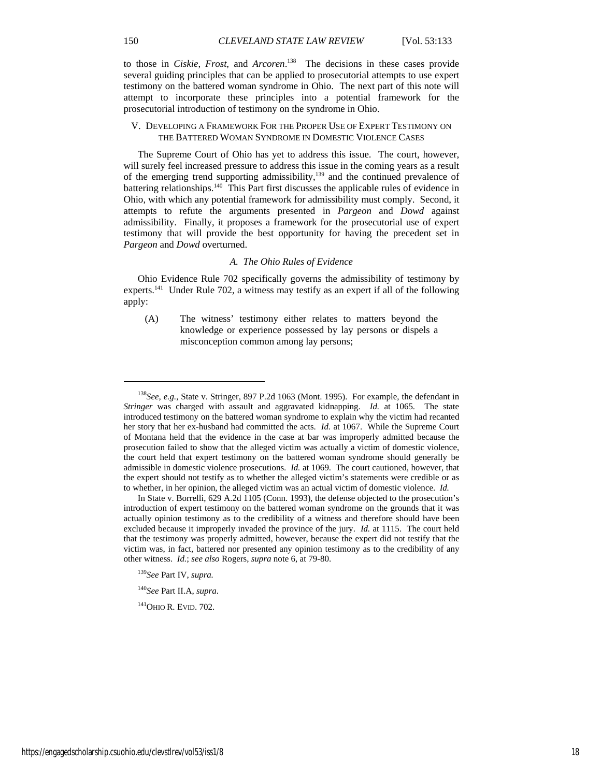to those in *Ciskie*, *Frost*, and *Arcoren*. 138 The decisions in these cases provide several guiding principles that can be applied to prosecutorial attempts to use expert testimony on the battered woman syndrome in Ohio. The next part of this note will attempt to incorporate these principles into a potential framework for the prosecutorial introduction of testimony on the syndrome in Ohio.

#### V. DEVELOPING A FRAMEWORK FOR THE PROPER USE OF EXPERT TESTIMONY ON THE BATTERED WOMAN SYNDROME IN DOMESTIC VIOLENCE CASES

The Supreme Court of Ohio has yet to address this issue. The court, however, will surely feel increased pressure to address this issue in the coming years as a result of the emerging trend supporting admissibility,<sup>139</sup> and the continued prevalence of battering relationships.140 This Part first discusses the applicable rules of evidence in Ohio, with which any potential framework for admissibility must comply. Second, it attempts to refute the arguments presented in *Pargeon* and *Dowd* against admissibility. Finally, it proposes a framework for the prosecutorial use of expert testimony that will provide the best opportunity for having the precedent set in *Pargeon* and *Dowd* overturned.

#### *A. The Ohio Rules of Evidence*

Ohio Evidence Rule 702 specifically governs the admissibility of testimony by experts.<sup>141</sup> Under Rule 702, a witness may testify as an expert if all of the following apply:

(A) The witness' testimony either relates to matters beyond the knowledge or experience possessed by lay persons or dispels a misconception common among lay persons;

<sup>139</sup>*See* Part IV, *supra.*

<sup>140</sup>*See* Part II.A, *supra*.

<sup>141</sup>OHIO R. EVID. 702.

l

<sup>138</sup>*See, e.g.*, State v. Stringer, 897 P.2d 1063 (Mont. 1995). For example, the defendant in *Stringer* was charged with assault and aggravated kidnapping. *Id.* at 1065. The state introduced testimony on the battered woman syndrome to explain why the victim had recanted her story that her ex-husband had committed the acts. *Id.* at 1067. While the Supreme Court of Montana held that the evidence in the case at bar was improperly admitted because the prosecution failed to show that the alleged victim was actually a victim of domestic violence, the court held that expert testimony on the battered woman syndrome should generally be admissible in domestic violence prosecutions. *Id.* at 1069. The court cautioned, however, that the expert should not testify as to whether the alleged victim's statements were credible or as to whether, in her opinion, the alleged victim was an actual victim of domestic violence. *Id.*

In State v. Borrelli, 629 A.2d 1105 (Conn. 1993), the defense objected to the prosecution's introduction of expert testimony on the battered woman syndrome on the grounds that it was actually opinion testimony as to the credibility of a witness and therefore should have been excluded because it improperly invaded the province of the jury. *Id.* at 1115. The court held that the testimony was properly admitted, however, because the expert did not testify that the victim was, in fact, battered nor presented any opinion testimony as to the credibility of any other witness. *Id.*; *see also* Rogers, *supra* note 6, at 79-80.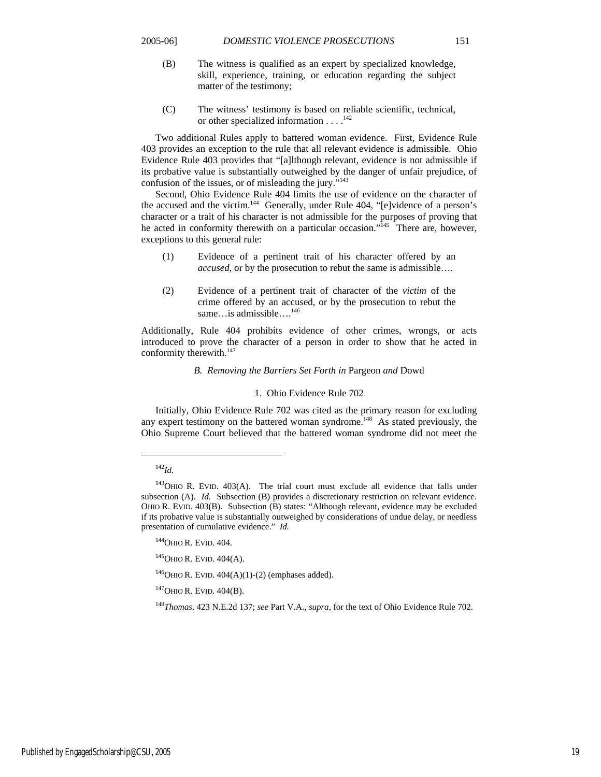- (B) The witness is qualified as an expert by specialized knowledge, skill, experience, training, or education regarding the subject matter of the testimony;
- (C) The witness' testimony is based on reliable scientific, technical, or other specialized information  $\dots$ <sup>142</sup>

Two additional Rules apply to battered woman evidence. First, Evidence Rule 403 provides an exception to the rule that all relevant evidence is admissible. Ohio Evidence Rule 403 provides that "[a]lthough relevant, evidence is not admissible if its probative value is substantially outweighed by the danger of unfair prejudice, of confusion of the issues, or of misleading the jury."143

Second, Ohio Evidence Rule 404 limits the use of evidence on the character of the accused and the victim.<sup>144</sup> Generally, under Rule 404, "[e]vidence of a person's character or a trait of his character is not admissible for the purposes of proving that he acted in conformity therewith on a particular occasion."<sup>145</sup> There are, however, exceptions to this general rule:

- (1) Evidence of a pertinent trait of his character offered by an *accused*, or by the prosecution to rebut the same is admissible….
- (2) Evidence of a pertinent trait of character of the *victim* of the crime offered by an accused, or by the prosecution to rebut the same...is admissible....<sup>146</sup>

Additionally, Rule 404 prohibits evidence of other crimes, wrongs, or acts introduced to prove the character of a person in order to show that he acted in conformity therewith.<sup>147</sup>

#### *B. Removing the Barriers Set Forth in* Pargeon *and* Dowd

#### 1. Ohio Evidence Rule 702

Initially, Ohio Evidence Rule 702 was cited as the primary reason for excluding any expert testimony on the battered woman syndrome.<sup>148</sup> As stated previously, the Ohio Supreme Court believed that the battered woman syndrome did not meet the

<sup>142</sup>*Id.*

 $143$ OHIO R. EVID. 403(A). The trial court must exclude all evidence that falls under subsection (A). *Id.* Subsection (B) provides a discretionary restriction on relevant evidence. OHIO R. EVID. 403(B). Subsection (B) states: "Although relevant, evidence may be excluded if its probative value is substantially outweighed by considerations of undue delay, or needless presentation of cumulative evidence." *Id.*

<sup>&</sup>lt;sup>144</sup>OHIO R. EVID. 404.

<sup>&</sup>lt;sup>145</sup>OHIO R. EVID. 404(A).

 $146$ OHIO R. EVID.  $404(A)(1)-(2)$  (emphases added).

 $147$ OHIO R. EVID.  $404$ (B).

<sup>148</sup>*Thomas*, 423 N.E.2d 137; *see* Part V.A., *supra*, for the text of Ohio Evidence Rule 702.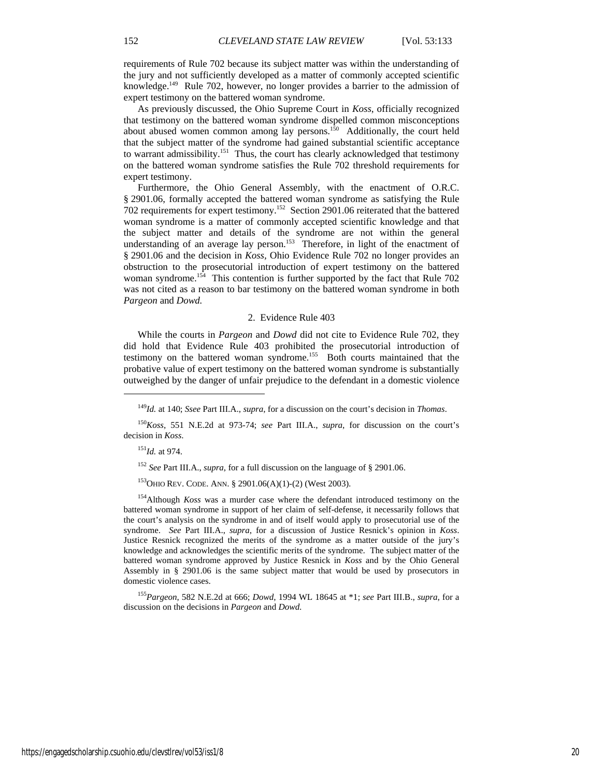requirements of Rule 702 because its subject matter was within the understanding of the jury and not sufficiently developed as a matter of commonly accepted scientific knowledge.149 Rule 702, however, no longer provides a barrier to the admission of expert testimony on the battered woman syndrome.

As previously discussed, the Ohio Supreme Court in *Koss*, officially recognized that testimony on the battered woman syndrome dispelled common misconceptions about abused women common among lay persons.<sup>150</sup> Additionally, the court held that the subject matter of the syndrome had gained substantial scientific acceptance to warrant admissibility.<sup>151</sup> Thus, the court has clearly acknowledged that testimony on the battered woman syndrome satisfies the Rule 702 threshold requirements for expert testimony.

Furthermore, the Ohio General Assembly, with the enactment of O.R.C. § 2901.06, formally accepted the battered woman syndrome as satisfying the Rule 702 requirements for expert testimony.152 Section 2901.06 reiterated that the battered woman syndrome is a matter of commonly accepted scientific knowledge and that the subject matter and details of the syndrome are not within the general understanding of an average lay person.<sup>153</sup> Therefore, in light of the enactment of § 2901.06 and the decision in *Koss,* Ohio Evidence Rule 702 no longer provides an obstruction to the prosecutorial introduction of expert testimony on the battered woman syndrome.<sup>154</sup> This contention is further supported by the fact that Rule 702 was not cited as a reason to bar testimony on the battered woman syndrome in both *Pargeon* and *Dowd.*

#### 2. Evidence Rule 403

While the courts in *Pargeon* and *Dowd* did not cite to Evidence Rule 702, they did hold that Evidence Rule 403 prohibited the prosecutorial introduction of testimony on the battered woman syndrome.<sup>155</sup> Both courts maintained that the probative value of expert testimony on the battered woman syndrome is substantially outweighed by the danger of unfair prejudice to the defendant in a domestic violence

 $\overline{a}$ 

<sup>152</sup> *See* Part III.A., *supra*, for a full discussion on the language of § 2901.06.

153OHIO REV. CODE. ANN. § 2901.06(A)(1)-(2) (West 2003).

154Although *Koss* was a murder case where the defendant introduced testimony on the battered woman syndrome in support of her claim of self-defense, it necessarily follows that the court's analysis on the syndrome in and of itself would apply to prosecutorial use of the syndrome. *See* Part III.A., *supra*, for a discussion of Justice Resnick's opinion in *Koss*. Justice Resnick recognized the merits of the syndrome as a matter outside of the jury's knowledge and acknowledges the scientific merits of the syndrome. The subject matter of the battered woman syndrome approved by Justice Resnick in *Koss* and by the Ohio General Assembly in § 2901.06 is the same subject matter that would be used by prosecutors in domestic violence cases.

<sup>155</sup>*Pargeon*, 582 N.E.2d at 666; *Dowd*, 1994 WL 18645 at \*1; *see* Part III.B., *supra*, for a discussion on the decisions in *Pargeon* and *Dowd*.

<sup>149</sup>*Id.* at 140; *Ssee* Part III.A., *supra*, for a discussion on the court's decision in *Thomas*.

<sup>150</sup>*Koss*, 551 N.E.2d at 973-74; *see* Part III.A., *supra*, for discussion on the court's decision in *Koss*.

<sup>151</sup>*Id.* at 974.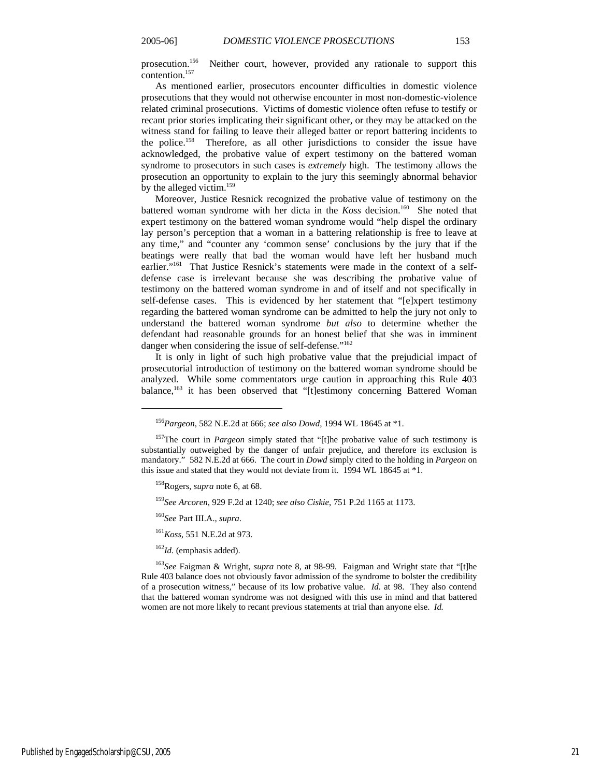prosecution.156 Neither court, however, provided any rationale to support this contention.157

As mentioned earlier, prosecutors encounter difficulties in domestic violence prosecutions that they would not otherwise encounter in most non-domestic-violence related criminal prosecutions. Victims of domestic violence often refuse to testify or recant prior stories implicating their significant other, or they may be attacked on the witness stand for failing to leave their alleged batter or report battering incidents to the police.158 Therefore, as all other jurisdictions to consider the issue have acknowledged, the probative value of expert testimony on the battered woman syndrome to prosecutors in such cases is *extremely* high. The testimony allows the prosecution an opportunity to explain to the jury this seemingly abnormal behavior by the alleged victim.<sup>159</sup>

Moreover, Justice Resnick recognized the probative value of testimony on the battered woman syndrome with her dicta in the *Koss* decision.<sup>160</sup> She noted that expert testimony on the battered woman syndrome would "help dispel the ordinary lay person's perception that a woman in a battering relationship is free to leave at any time," and "counter any 'common sense' conclusions by the jury that if the beatings were really that bad the woman would have left her husband much earlier."<sup>161</sup> That Justice Resnick's statements were made in the context of a selfdefense case is irrelevant because she was describing the probative value of testimony on the battered woman syndrome in and of itself and not specifically in self-defense cases. This is evidenced by her statement that "[e]xpert testimony regarding the battered woman syndrome can be admitted to help the jury not only to understand the battered woman syndrome *but also* to determine whether the defendant had reasonable grounds for an honest belief that she was in imminent danger when considering the issue of self-defense."<sup>162</sup>

It is only in light of such high probative value that the prejudicial impact of prosecutorial introduction of testimony on the battered woman syndrome should be analyzed. While some commentators urge caution in approaching this Rule 403 balance,<sup>163</sup> it has been observed that "[t]estimony concerning Battered Woman

<sup>159</sup>*See Arcoren*, 929 F.2d at 1240; *see also Ciskie*, 751 P.2d 1165 at 1173.

 $\overline{a}$ 

<sup>163</sup>*See* Faigman & Wright, *supra* note 8, at 98-99. Faigman and Wright state that "[t]he Rule 403 balance does not obviously favor admission of the syndrome to bolster the credibility of a prosecution witness," because of its low probative value. *Id.* at 98. They also contend that the battered woman syndrome was not designed with this use in mind and that battered women are not more likely to recant previous statements at trial than anyone else. *Id.*

<sup>156</sup>*Pargeon*, 582 N.E.2d at 666; *see also Dowd,* 1994 WL 18645 at \*1.

<sup>&</sup>lt;sup>157</sup>The court in *Pargeon* simply stated that "[t]he probative value of such testimony is substantially outweighed by the danger of unfair prejudice, and therefore its exclusion is mandatory." 582 N.E.2d at 666. The court in *Dowd* simply cited to the holding in *Pargeon* on this issue and stated that they would not deviate from it. 1994 WL 18645 at \*1.

<sup>158</sup>Rogers, *supra* note 6, at 68.

<sup>160</sup>*See* Part III.A., *supra*.

<sup>161</sup>*Koss*, 551 N.E.2d at 973.

<sup>162</sup>*Id.* (emphasis added).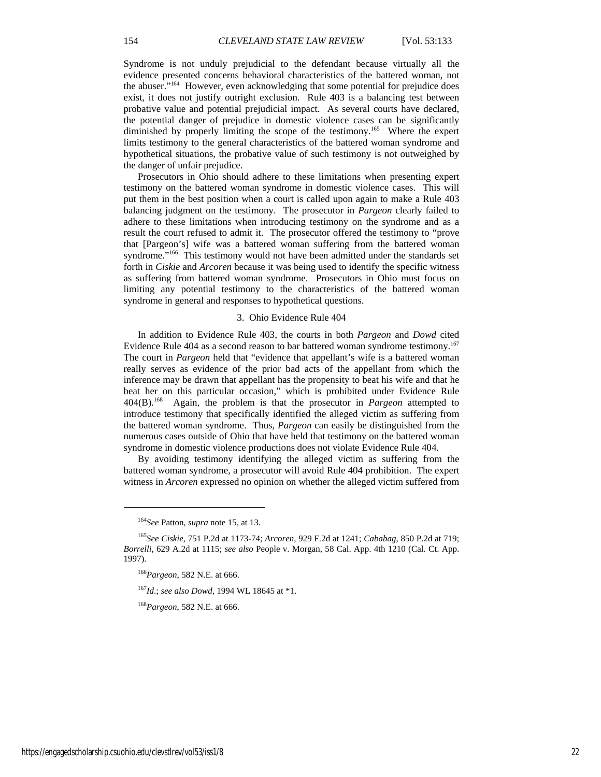Syndrome is not unduly prejudicial to the defendant because virtually all the evidence presented concerns behavioral characteristics of the battered woman, not the abuser."164 However, even acknowledging that some potential for prejudice does exist, it does not justify outright exclusion. Rule 403 is a balancing test between probative value and potential prejudicial impact. As several courts have declared, the potential danger of prejudice in domestic violence cases can be significantly diminished by properly limiting the scope of the testimony.<sup>165</sup> Where the expert limits testimony to the general characteristics of the battered woman syndrome and hypothetical situations, the probative value of such testimony is not outweighed by the danger of unfair prejudice.

Prosecutors in Ohio should adhere to these limitations when presenting expert testimony on the battered woman syndrome in domestic violence cases. This will put them in the best position when a court is called upon again to make a Rule 403 balancing judgment on the testimony. The prosecutor in *Pargeon* clearly failed to adhere to these limitations when introducing testimony on the syndrome and as a result the court refused to admit it. The prosecutor offered the testimony to "prove that [Pargeon's] wife was a battered woman suffering from the battered woman syndrome."<sup>166</sup> This testimony would not have been admitted under the standards set forth in *Ciskie* and *Arcoren* because it was being used to identify the specific witness as suffering from battered woman syndrome. Prosecutors in Ohio must focus on limiting any potential testimony to the characteristics of the battered woman syndrome in general and responses to hypothetical questions.

#### 3. Ohio Evidence Rule 404

In addition to Evidence Rule 403, the courts in both *Pargeon* and *Dowd* cited Evidence Rule 404 as a second reason to bar battered woman syndrome testimony.<sup>167</sup> The court in *Pargeon* held that "evidence that appellant's wife is a battered woman really serves as evidence of the prior bad acts of the appellant from which the inference may be drawn that appellant has the propensity to beat his wife and that he beat her on this particular occasion," which is prohibited under Evidence Rule 404(B).168 Again, the problem is that the prosecutor in *Pargeon* attempted to introduce testimony that specifically identified the alleged victim as suffering from the battered woman syndrome. Thus, *Pargeon* can easily be distinguished from the numerous cases outside of Ohio that have held that testimony on the battered woman syndrome in domestic violence productions does not violate Evidence Rule 404.

By avoiding testimony identifying the alleged victim as suffering from the battered woman syndrome, a prosecutor will avoid Rule 404 prohibition. The expert witness in *Arcoren* expressed no opinion on whether the alleged victim suffered from

<sup>167</sup>*Id*.; *see also Dowd*, 1994 WL 18645 at \*1.

<sup>168</sup>*Pargeon*, 582 N.E. at 666.

<sup>164</sup>*See* Patton, *supra* note 15, at 13.

<sup>165</sup>*See Ciskie*, 751 P.2d at 1173-74; *Arcoren*, 929 F.2d at 1241; *Cababag*, 850 P.2d at 719; *Borrelli*, 629 A.2d at 1115; *see also* People v. Morgan, 58 Cal. App. 4th 1210 (Cal. Ct. App. 1997).

<sup>166</sup>*Pargeon*, 582 N.E. at 666.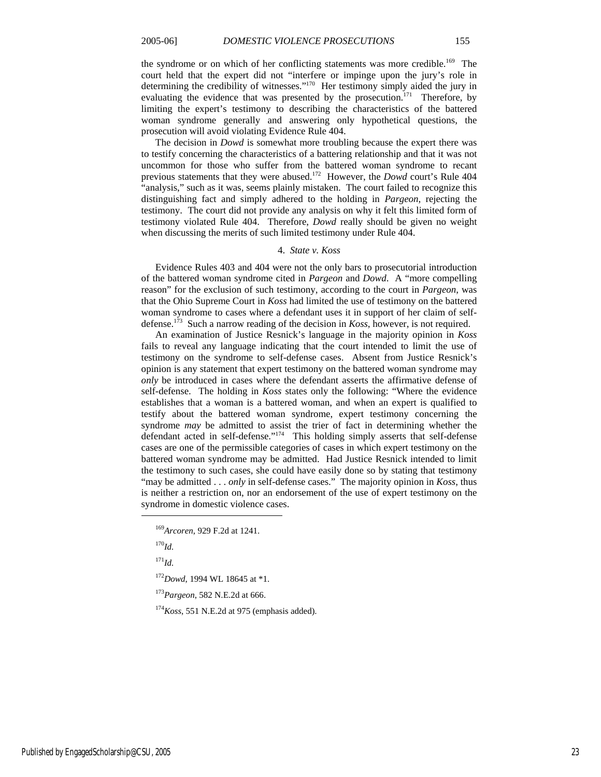the syndrome or on which of her conflicting statements was more credible.<sup>169</sup> The court held that the expert did not "interfere or impinge upon the jury's role in determining the credibility of witnesses."170 Her testimony simply aided the jury in evaluating the evidence that was presented by the prosecution.<sup>171</sup> Therefore, by limiting the expert's testimony to describing the characteristics of the battered woman syndrome generally and answering only hypothetical questions, the prosecution will avoid violating Evidence Rule 404.

The decision in *Dowd* is somewhat more troubling because the expert there was to testify concerning the characteristics of a battering relationship and that it was not uncommon for those who suffer from the battered woman syndrome to recant previous statements that they were abused.172 However, the *Dowd* court's Rule 404 "analysis," such as it was, seems plainly mistaken. The court failed to recognize this distinguishing fact and simply adhered to the holding in *Pargeon*, rejecting the testimony. The court did not provide any analysis on why it felt this limited form of testimony violated Rule 404. Therefore, *Dowd* really should be given no weight when discussing the merits of such limited testimony under Rule 404.

#### 4. *State v. Koss*

Evidence Rules 403 and 404 were not the only bars to prosecutorial introduction of the battered woman syndrome cited in *Pargeon* and *Dowd*. A "more compelling reason" for the exclusion of such testimony, according to the court in *Pargeon*, was that the Ohio Supreme Court in *Koss* had limited the use of testimony on the battered woman syndrome to cases where a defendant uses it in support of her claim of selfdefense.173 Such a narrow reading of the decision in *Koss*, however, is not required.

An examination of Justice Resnick's language in the majority opinion in *Koss* fails to reveal any language indicating that the court intended to limit the use of testimony on the syndrome to self-defense cases. Absent from Justice Resnick's opinion is any statement that expert testimony on the battered woman syndrome may *only* be introduced in cases where the defendant asserts the affirmative defense of self-defense. The holding in *Koss* states only the following: "Where the evidence establishes that a woman is a battered woman, and when an expert is qualified to testify about the battered woman syndrome, expert testimony concerning the syndrome *may* be admitted to assist the trier of fact in determining whether the defendant acted in self-defense."<sup>174</sup> This holding simply asserts that self-defense cases are one of the permissible categories of cases in which expert testimony on the battered woman syndrome may be admitted. Had Justice Resnick intended to limit the testimony to such cases, she could have easily done so by stating that testimony "may be admitted . . . *only* in self-defense cases." The majority opinion in *Koss*, thus is neither a restriction on, nor an endorsement of the use of expert testimony on the syndrome in domestic violence cases.

l

<sup>173</sup>*Pargeon*, 582 N.E.2d at 666.

<sup>174</sup>*Koss*, 551 N.E.2d at 975 (emphasis added).

<sup>169</sup>*Arcoren*, 929 F.2d at 1241.

<sup>170</sup>*Id.*

<sup>171</sup>*Id.*

<sup>172</sup>*Dowd*, 1994 WL 18645 at \*1.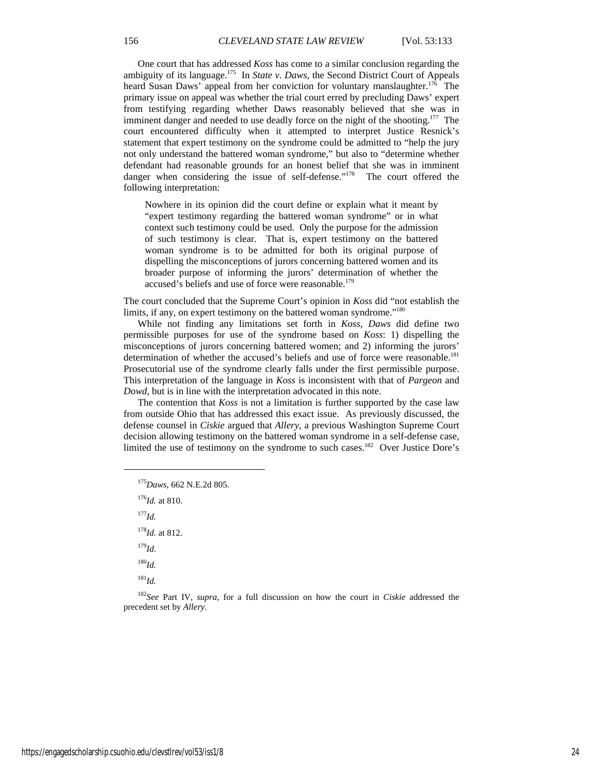One court that has addressed *Koss* has come to a similar conclusion regarding the ambiguity of its language.<sup>175</sup> In *State v. Daws*, the Second District Court of Appeals heard Susan Daws' appeal from her conviction for voluntary manslaughter.<sup>176</sup> The primary issue on appeal was whether the trial court erred by precluding Daws' expert from testifying regarding whether Daws reasonably believed that she was in imminent danger and needed to use deadly force on the night of the shooting.<sup>177</sup> The court encountered difficulty when it attempted to interpret Justice Resnick's statement that expert testimony on the syndrome could be admitted to "help the jury not only understand the battered woman syndrome," but also to "determine whether defendant had reasonable grounds for an honest belief that she was in imminent danger when considering the issue of self-defense."<sup>178</sup> The court offered the following interpretation:

Nowhere in its opinion did the court define or explain what it meant by "expert testimony regarding the battered woman syndrome" or in what context such testimony could be used. Only the purpose for the admission of such testimony is clear. That is, expert testimony on the battered woman syndrome is to be admitted for both its original purpose of dispelling the misconceptions of jurors concerning battered women and its broader purpose of informing the jurors' determination of whether the accused's beliefs and use of force were reasonable.<sup>179</sup>

The court concluded that the Supreme Court's opinion in *Koss* did "not establish the limits, if any, on expert testimony on the battered woman syndrome."<sup>180</sup>

While not finding any limitations set forth in *Koss, Daws* did define two permissible purposes for use of the syndrome based on *Koss*: 1) dispelling the misconceptions of jurors concerning battered women; and 2) informing the jurors' determination of whether the accused's beliefs and use of force were reasonable.<sup>181</sup> Prosecutorial use of the syndrome clearly falls under the first permissible purpose. This interpretation of the language in *Koss* is inconsistent with that of *Pargeon* and *Dowd*, but is in line with the interpretation advocated in this note.

The contention that *Koss* is not a limitation is further supported by the case law from outside Ohio that has addressed this exact issue. As previously discussed, the defense counsel in *Ciskie* argued that *Allery*, a previous Washington Supreme Court decision allowing testimony on the battered woman syndrome in a self-defense case, limited the use of testimony on the syndrome to such cases.<sup>182</sup> Over Justice Dore's

<sup>175</sup>*Daws*, 662 N.E.2d 805.

<sup>176</sup>*Id.* at 810. <sup>177</sup>*Id.* <sup>178</sup>*Id.* at 812. <sup>179</sup>*Id*. <sup>180</sup>*Id.* <sup>181</sup>*Id.*

 $\overline{a}$ 

<sup>182</sup>*See* Part IV, *supra*, for a full discussion on how the court in *Ciskie* addressed the precedent set by *Allery*.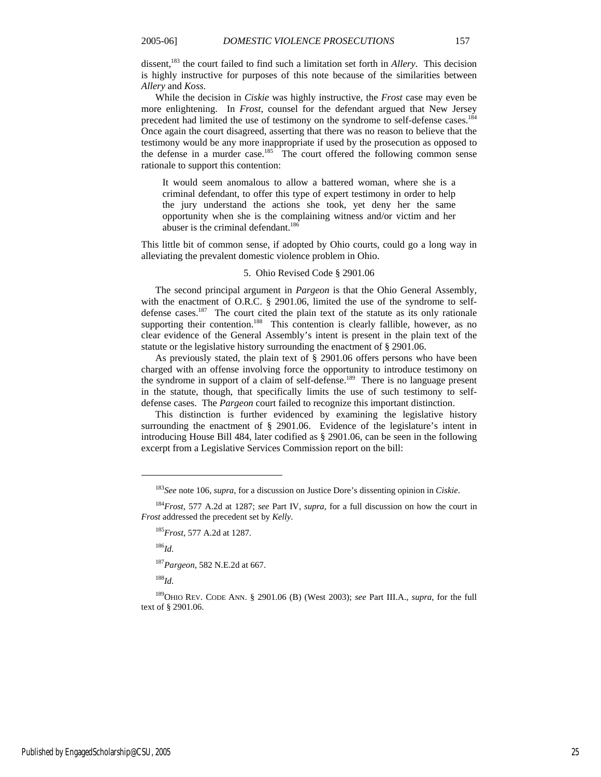dissent,<sup>183</sup> the court failed to find such a limitation set forth in *Allery*. This decision is highly instructive for purposes of this note because of the similarities between *Allery* and *Koss*.

While the decision in *Ciskie* was highly instructive, the *Frost* case may even be more enlightening. In *Frost*, counsel for the defendant argued that New Jersey precedent had limited the use of testimony on the syndrome to self-defense cases.<sup>184</sup> Once again the court disagreed, asserting that there was no reason to believe that the testimony would be any more inappropriate if used by the prosecution as opposed to the defense in a murder case.<sup>185</sup> The court offered the following common sense rationale to support this contention:

It would seem anomalous to allow a battered woman, where she is a criminal defendant, to offer this type of expert testimony in order to help the jury understand the actions she took, yet deny her the same opportunity when she is the complaining witness and/or victim and her abuser is the criminal defendant.<sup>186</sup>

This little bit of common sense, if adopted by Ohio courts, could go a long way in alleviating the prevalent domestic violence problem in Ohio.

#### 5. Ohio Revised Code § 2901.06

The second principal argument in *Pargeon* is that the Ohio General Assembly, with the enactment of O.R.C. § 2901.06, limited the use of the syndrome to selfdefense cases.<sup>187</sup> The court cited the plain text of the statute as its only rationale supporting their contention.<sup>188</sup> This contention is clearly fallible, however, as no clear evidence of the General Assembly's intent is present in the plain text of the statute or the legislative history surrounding the enactment of § 2901.06.

As previously stated, the plain text of § 2901.06 offers persons who have been charged with an offense involving force the opportunity to introduce testimony on the syndrome in support of a claim of self-defense.189 There is no language present in the statute, though, that specifically limits the use of such testimony to selfdefense cases. The *Pargeon* court failed to recognize this important distinction.

This distinction is further evidenced by examining the legislative history surrounding the enactment of § 2901.06. Evidence of the legislature's intent in introducing House Bill 484, later codified as § 2901.06, can be seen in the following excerpt from a Legislative Services Commission report on the bill:

<sup>186</sup>*Id.*

 $\overline{a}$ 

<sup>187</sup>*Pargeon*, 582 N.E.2d at 667.

<sup>188</sup>*Id.*

<sup>183</sup>*See* note 106, *supra*, for a discussion on Justice Dore's dissenting opinion in *Ciskie*.

<sup>184</sup>*Frost*, 577 A.2d at 1287; *see* Part IV, *supra*, for a full discussion on how the court in *Frost* addressed the precedent set by *Kelly*.

<sup>185</sup>*Frost,* 577 A.2d at 1287.

<sup>189</sup>OHIO REV. CODE ANN. § 2901.06 (B) (West 2003); *see* Part III.A., *supra*, for the full text of § 2901.06.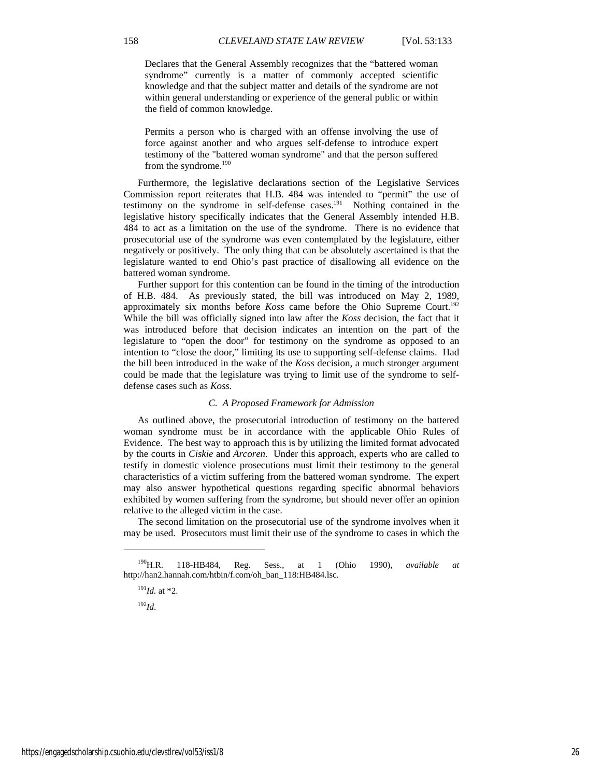Declares that the General Assembly recognizes that the "battered woman syndrome" currently is a matter of commonly accepted scientific knowledge and that the subject matter and details of the syndrome are not within general understanding or experience of the general public or within the field of common knowledge.

Permits a person who is charged with an offense involving the use of force against another and who argues self-defense to introduce expert testimony of the "battered woman syndrome" and that the person suffered from the syndrome.<sup>190</sup>

Furthermore, the legislative declarations section of the Legislative Services Commission report reiterates that H.B. 484 was intended to "permit" the use of testimony on the syndrome in self-defense cases.<sup>191</sup> Nothing contained in the legislative history specifically indicates that the General Assembly intended H.B. 484 to act as a limitation on the use of the syndrome. There is no evidence that prosecutorial use of the syndrome was even contemplated by the legislature, either negatively or positively. The only thing that can be absolutely ascertained is that the legislature wanted to end Ohio's past practice of disallowing all evidence on the battered woman syndrome.

Further support for this contention can be found in the timing of the introduction of H.B. 484. As previously stated, the bill was introduced on May 2, 1989, approximately six months before *Koss* came before the Ohio Supreme Court.<sup>192</sup> While the bill was officially signed into law after the *Koss* decision, the fact that it was introduced before that decision indicates an intention on the part of the legislature to "open the door" for testimony on the syndrome as opposed to an intention to "close the door," limiting its use to supporting self-defense claims. Had the bill been introduced in the wake of the *Koss* decision, a much stronger argument could be made that the legislature was trying to limit use of the syndrome to selfdefense cases such as *Koss.*

### *C. A Proposed Framework for Admission*

As outlined above, the prosecutorial introduction of testimony on the battered woman syndrome must be in accordance with the applicable Ohio Rules of Evidence. The best way to approach this is by utilizing the limited format advocated by the courts in *Ciskie* and *Arcoren*. Under this approach, experts who are called to testify in domestic violence prosecutions must limit their testimony to the general characteristics of a victim suffering from the battered woman syndrome. The expert may also answer hypothetical questions regarding specific abnormal behaviors exhibited by women suffering from the syndrome, but should never offer an opinion relative to the alleged victim in the case.

The second limitation on the prosecutorial use of the syndrome involves when it may be used. Prosecutors must limit their use of the syndrome to cases in which the

<sup>192</sup>*Id*.

<sup>190</sup>H.R. 118-HB484, Reg. Sess., at 1 (Ohio 1990), *available at* http://han2.hannah.com/htbin/f.com/oh\_ban\_118:HB484.lsc.

<sup>191</sup>*Id.* at \*2.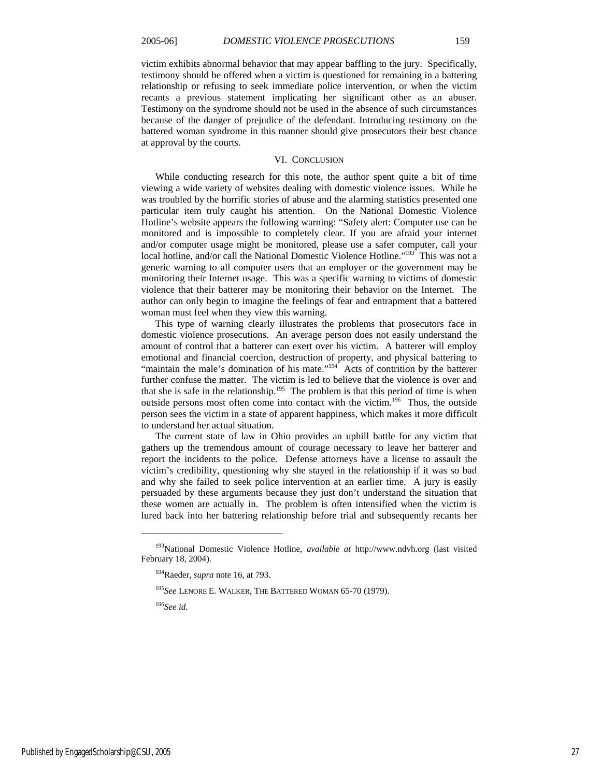victim exhibits abnormal behavior that may appear baffling to the jury. Specifically, testimony should be offered when a victim is questioned for remaining in a battering relationship or refusing to seek immediate police intervention, or when the victim recants a previous statement implicating her significant other as an abuser. Testimony on the syndrome should not be used in the absence of such circumstances because of the danger of prejudice of the defendant. Introducing testimony on the battered woman syndrome in this manner should give prosecutors their best chance at approval by the courts.

#### VI. CONCLUSION

While conducting research for this note, the author spent quite a bit of time viewing a wide variety of websites dealing with domestic violence issues. While he was troubled by the horrific stories of abuse and the alarming statistics presented one particular item truly caught his attention. On the National Domestic Violence Hotline's website appears the following warning: "Safety alert: Computer use can be monitored and is impossible to completely clear. If you are afraid your internet and/or computer usage might be monitored, please use a safer computer, call your local hotline, and/or call the National Domestic Violence Hotline."<sup>193</sup> This was not a generic warning to all computer users that an employer or the government may be monitoring their Internet usage. This was a specific warning to victims of domestic violence that their batterer may be monitoring their behavior on the Internet. The author can only begin to imagine the feelings of fear and entrapment that a battered woman must feel when they view this warning.

This type of warning clearly illustrates the problems that prosecutors face in domestic violence prosecutions. An average person does not easily understand the amount of control that a batterer can exert over his victim. A batterer will employ emotional and financial coercion, destruction of property, and physical battering to "maintain the male's domination of his mate."<sup>194</sup> Acts of contrition by the batterer further confuse the matter. The victim is led to believe that the violence is over and that she is safe in the relationship.<sup>195</sup> The problem is that this period of time is when outside persons most often come into contact with the victim.196 Thus, the outside person sees the victim in a state of apparent happiness, which makes it more difficult to understand her actual situation.

The current state of law in Ohio provides an uphill battle for any victim that gathers up the tremendous amount of courage necessary to leave her batterer and report the incidents to the police. Defense attorneys have a license to assault the victim's credibility, questioning why she stayed in the relationship if it was so bad and why she failed to seek police intervention at an earlier time. A jury is easily persuaded by these arguments because they just don't understand the situation that these women are actually in. The problem is often intensified when the victim is lured back into her battering relationship before trial and subsequently recants her

<sup>196</sup>*See id*.

<sup>193</sup>National Domestic Violence Hotline, *available at* http://www.ndvh.org (last visited February 18, 2004).

<sup>194</sup>Raeder, *supra* note 16, at 793.

<sup>195</sup>*See* LENORE E. WALKER, THE BATTERED WOMAN 65-70 (1979).